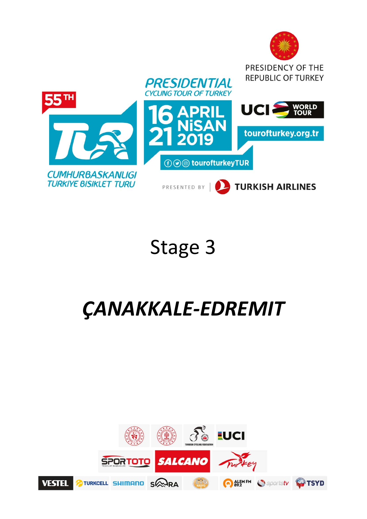

# Stage 3

# *ÇANAKKALE‐EDREMIT*

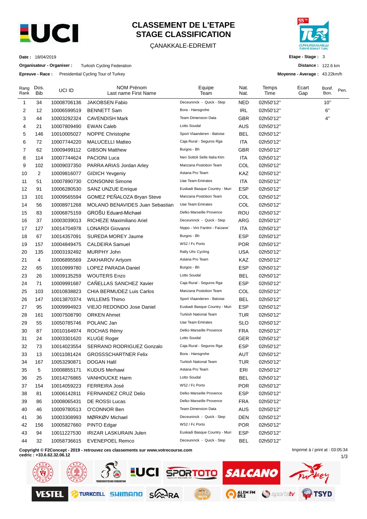

# **CLASSEMENT DE L'ETAPE STAGE CLASSIFICATION**

#### ÇANAKKALE-EDREMIT



**Etape - Stage :** 3

**Moyenne - Average :** 43.22km/h

**Distance :** 122.6 km

1/3

**Date :** 18/04/2019

**Organisateur - Organiser :** Turkish Cycling Federation

**Epreuve - Race :** Presidential Cycling Tour of Turkey

| Rang<br>Rank | Dos.<br><b>Bib</b> | UCI ID      | <b>NOM Prénom</b><br>Last name First Name                                        | Equipe<br>Team                  | Nat.<br>Nat. |           | Ecart<br>Gap                    | Bonif.<br>Bon. | Pen. |
|--------------|--------------------|-------------|----------------------------------------------------------------------------------|---------------------------------|--------------|-----------|---------------------------------|----------------|------|
| 1            | 34                 | 10008706136 | <b>JAKOBSEN Fabio</b>                                                            | Deceuninck - Quick - Step       | NED          | 02h50'12" |                                 | 10"            |      |
| 2            | 12                 | 10006599519 | <b>BENNETT Sam</b>                                                               | Bora - Hansgrohe                | <b>IRL</b>   | 02h50'12" |                                 | 6"             |      |
| 3            | 44                 | 10003292324 | <b>CAVENDISH Mark</b>                                                            | <b>Team Dimension Data</b>      | GBR          | 02h50'12" |                                 | 4"             |      |
| 4            | 21                 | 10007809490 | <b>EWAN Caleb</b>                                                                | Lotto Soudal                    | <b>AUS</b>   | 02h50'12" |                                 |                |      |
| 5            | 146                | 10010005027 | <b>NOPPE Christophe</b>                                                          | Sport Vlaanderen - Baloise      | BEL          | 02h50'12" |                                 |                |      |
| 6            | 72                 | 10007744220 | <b>MALUCELLI Matteo</b>                                                          | Caja Rural - Seguros Rga        | ITA          | 02h50'12" |                                 |                |      |
| 7            | 62                 | 10009499112 | <b>GIBSON Matthew</b>                                                            | Burgos - Bh                     | GBR          | 02h50'12" |                                 |                |      |
| 8            | 114                | 10007744624 | <b>PACIONI Luca</b>                                                              | Neri Sottoli Selle Italia Ktm   | ITA          | 02h50'12" |                                 |                |      |
| 9            | 102                | 10009037350 | PARRA ARIAS Jordan Arley                                                         | Manzana Postobon Team           | COL          | 02h50'12" |                                 |                |      |
| 10           | 2                  | 10009816077 | <b>GIDICH Yevgeniy</b>                                                           | Astana Pro Team                 | KAZ          | 02h50'12" |                                 |                |      |
| 11           | 51                 | 10007890730 | <b>CONSONNI Simone</b>                                                           | Uae Team Emirates               | ITA          | 02h50'12" |                                 |                |      |
| 12           | 91                 | 10006280530 | <b>SANZ UNZUE Enrique</b>                                                        | Euskadi Basque Country - Muri   | <b>ESP</b>   | 02h50'12" |                                 |                |      |
| 13           | 101                | 10009565594 | GOMEZ PEÑALOZA Bryan Steve                                                       | Manzana Postobon Team           | COL          | 02h50'12" |                                 |                |      |
| 14           | 56                 | 10008971268 | <b>MOLANO BENAVIDES Juan Sebastian</b>                                           | Uae Team Emirates               | COL          | 02h50'12" |                                 |                |      |
| 15           | 83                 | 10006875159 | GROŠU Eduard-Michael                                                             | Delko Marseille Provence        | <b>ROU</b>   | 02h50'12" |                                 |                |      |
| 16           | 37                 | 10003039013 | RICHEZE Maximiliano Ariel                                                        | Deceuninck - Quick - Step       | ARG          | 02h50'12" |                                 |                |      |
| 17           | 127                | 10014704978 | <b>LONARDI Giovanni</b>                                                          | Nippo - Vini Fantini - Faizane` | <b>ITA</b>   | 02h50'12" |                                 |                |      |
| 18           | 67                 | 10014357091 | SUREDA MOREY Jaume                                                               | Burgos - Bh                     | <b>ESP</b>   | 02h50'12" |                                 |                |      |
| 19           | 157                | 10004849475 | <b>CALDEIRA Samuel</b>                                                           | W52 / Fc Porto                  | <b>POR</b>   | 02h50'12" |                                 |                |      |
| 20           | 135                | 10003192492 | MURPHY John                                                                      | Rally Uhc Cycling               | <b>USA</b>   | 02h50'12" |                                 |                |      |
| 21           | 4                  | 10006895569 | ZAKHAROV Artyom                                                                  | Astana Pro Team                 | KAZ          | 02h50'12" |                                 |                |      |
| 22           | 65                 | 10010999780 | LOPEZ PARADA Daniel                                                              | Burgos - Bh                     | <b>ESP</b>   | 02h50'12" |                                 |                |      |
| 23           | 26                 | 10009135259 | <b>WOUTERS Enzo</b>                                                              | Lotto Soudal                    | <b>BEL</b>   | 02h50'12" |                                 |                |      |
| 24           | 71                 | 10009991687 | CANELLAS SANCHEZ Xavier                                                          | Caja Rural - Seguros Rga        | <b>ESP</b>   | 02h50'12" |                                 |                |      |
| 25           | 103                | 10010838823 | CHIA BERMUDEZ Luis Carlos                                                        | Manzana Postobon Team           | COL          | 02h50'12" |                                 |                |      |
| 26           | 147                | 10013870374 | <b>WILLEMS Thimo</b>                                                             | Sport Vlaanderen - Baloise      | <b>BEL</b>   | 02h50'12" |                                 |                |      |
| 27           | 95                 | 10009994923 | VIEJO REDONDO Jose Daniel                                                        | Euskadi Basque Country - Muri   | <b>ESP</b>   | 02h50'12" |                                 |                |      |
| 28           | 161                | 10007508790 | <b>ORKEN Ahmet</b>                                                               | <b>Turkish National Team</b>    | <b>TUR</b>   | 02h50'12" |                                 |                |      |
| 29           | 55                 | 10050785746 | POLANC Jan                                                                       | Uae Team Emirates               | <b>SLO</b>   | 02h50'12" |                                 |                |      |
| 30           | 87                 | 10010164974 | ROCHAS Rémy                                                                      | Delko Marseille Provence        | <b>FRA</b>   | 02h50'12" |                                 |                |      |
| 31           | 24                 | 10003301620 | <b>KLUGE Roger</b>                                                               | Lotto Soudal                    | <b>GER</b>   | 02h50'12" |                                 |                |      |
| 32           | 73                 | 10014023554 | <b>SERRANO RODRIGUEZ Gonzalo</b>                                                 | Caja Rural - Seguros Rga        | <b>ESP</b>   | 02h50'12" |                                 |                |      |
| 33           | 13                 | 10011081424 | <b>GROSSSCHARTNER Felix</b>                                                      | Bora - Hansgrohe                | <b>AUT</b>   | 02h50'12" |                                 |                |      |
| 34           | 167                | 10053290871 | DOGAN Halil                                                                      | Turkish National Team           | TUR          | 02h50'12" |                                 |                |      |
| 35           | 5                  | 10008855171 | <b>KUDUS Merhawi</b>                                                             | Astana Pro Team                 | ERI          | 02h50'12" |                                 |                |      |
| 36           | 25                 | 10014276865 | <b>VANHOUCKE Harm</b>                                                            | Lotto Soudal                    | <b>BEL</b>   | 02h50'12" |                                 |                |      |
| 37           | 154                | 10014059223 | FERREIRA José                                                                    | W52 / Fc Porto                  | <b>POR</b>   | 02h50'12" |                                 |                |      |
| 38           | 81                 | 10006142811 | FERNANDEZ CRUZ Delio                                                             | Delko Marseille Provence        | <b>ESP</b>   | 02h50'12" |                                 |                |      |
| 39           | 86                 | 10008065431 | <b>DE ROSSI Lucas</b>                                                            | Delko Marseille Provence        | <b>FRA</b>   | 02h50'12" |                                 |                |      |
| 40           | 46                 | 10009780513 | O'CONNOR Ben                                                                     | <b>Team Dimension Data</b>      | AUS          | 02h50'12" |                                 |                |      |
| 41           | 36                 | 10003308993 | MØRKØV Michael                                                                   | Deceuninck - Quick - Step       | <b>DEN</b>   | 02h50'12" |                                 |                |      |
| 42           | 156                | 10005827660 | PINTO Edgar                                                                      | W52 / Fc Porto                  | <b>POR</b>   | 02h50'12" |                                 |                |      |
| 43           | 94                 | 10011227530 | IRIZAR LASKURAIN Julen                                                           | Euskadi Basque Country - Muri   | <b>ESP</b>   | 02h50'12" |                                 |                |      |
| 44           | 32                 | 10058736615 | <b>EVENEPOEL Remco</b>                                                           | Deceuninck - Quick - Step       | <b>BEL</b>   | 02h50'12" |                                 |                |      |
|              |                    |             | Copyright © F2Concept - 2019 - retrouvez ces classements sur www.yotrecourse.com |                                 |              |           | Imprimé à / print at : 03:05:34 |                |      |

**Copyright © F2Concept - 2019 - retrouvez ces classements sur www.votrecourse.com**

**cedric : +33.6.62.32.06.12**

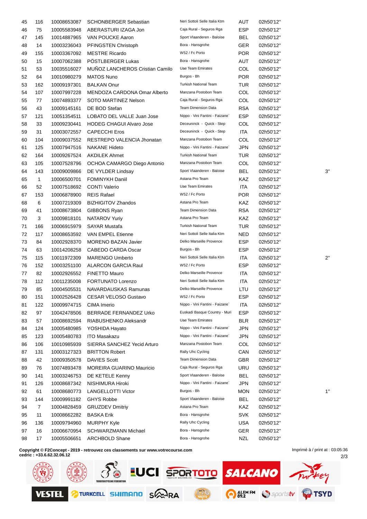| 45 | 116            | 10008653087 | <b>SCHONBERGER Sebastian</b>     | Neri Sottoli Selle Italia Ktm   | AUT        | 02h50'12" |              |
|----|----------------|-------------|----------------------------------|---------------------------------|------------|-----------|--------------|
| 46 | 75             | 10005583948 | ABERASTURI IZAGA Jon             | Caja Rural - Seguros Rga        | <b>ESP</b> | 02h50'12" |              |
| 47 | 145            | 10014887965 | VAN POUCKE Aaron                 | Sport Vlaanderen - Baloise      | BEL        | 02h50'12" |              |
| 48 | 14             | 10003236043 | PFINGSTEN Christoph              | Bora - Hansgrohe                | GER        | 02h50'12" |              |
| 49 | 155            | 10003367092 | <b>MESTRE Ricardo</b>            | W52 / Fc Porto                  | <b>POR</b> | 02h50'12" |              |
| 50 | 15             | 10007062388 | POSTLBERGER Lukas                | Bora - Hansgrohe                | AUT        | 02h50'12" |              |
| 51 | 53             | 10035516027 | MUÑOZ LANCHEROS Cristian Camilo  | Uae Team Emirates               | COL        | 02h50'12" |              |
| 52 | 64             | 10010980279 | <b>MATOS Nuno</b>                | Burgos - Bh                     | <b>POR</b> | 02h50'12" |              |
| 53 | 162            | 10009197301 | <b>BALKAN Onur</b>               | <b>Turkish National Team</b>    | TUR        | 02h50'12" |              |
| 54 | 107            | 10007997228 | MENDOZA CARDONA Omar Alberto     | Manzana Postobon Team           | COL        | 02h50'12" |              |
| 55 | 77             | 10074893377 | SOTO MARTINEZ Nelson             | Caja Rural - Seguros Rga        | COL        | 02h50'12" |              |
| 56 | 43             | 10009145161 | DE BOD Stefan                    | <b>Team Dimension Data</b>      | <b>RSA</b> | 02h50'12" |              |
| 57 | 121            | 10051354511 | LOBATO DEL VALLE Juan Jose       | Nippo - Vini Fantini - Faizane` | <b>ESP</b> | 02h50'12" |              |
| 58 | 33             | 10009230441 | <b>HODEG CHAGUI Alvaro Jose</b>  | Deceuninck - Quick - Step       | COL        | 02h50'12" |              |
| 59 | 31             | 10003072557 | <b>CAPECCHI Eros</b>             | Deceuninck - Quick - Step       | <b>ITA</b> | 02h50'12" |              |
| 60 | 104            | 10009037552 | RESTREPO VALENCIA Jhonatan       | Manzana Postobon Team           | COL        | 02h50'12" |              |
| 61 | 125            | 10007947516 | <b>NAKANE Hideto</b>             | Nippo - Vini Fantini - Faizane` | JPN        | 02h50'12" |              |
| 62 | 164            | 10009267524 | <b>AKDILEK Ahmet</b>             | <b>Turkish National Team</b>    | TUR        | 02h50'12" |              |
| 63 | 105            | 10007528796 | OCHOA CAMARGO Diego Antonio      | Manzana Postobon Team           | COL        | 02h50'12" |              |
| 64 | 143            | 10009009866 | DE VYLDER Lindsay                | Sport Vlaanderen - Baloise      | BEL        | 02h50'12" | 3'           |
| 65 | $\mathbf{1}$   | 10006500701 | <b>FOMINYKH Daniil</b>           | Astana Pro Team                 | KAZ        | 02h50'12" |              |
| 66 | 52             | 10007518692 | <b>CONTI Valerio</b>             | Uae Team Emirates               | <b>ITA</b> | 02h50'12" |              |
| 67 | 153            | 10006878900 | <b>REIS Rafael</b>               | W52 / Fc Porto                  | <b>POR</b> | 02h50'12" |              |
| 68 | 6              | 10007219309 | <b>BIZHIGITOV Zhandos</b>        | Astana Pro Team                 | KAZ        | 02h50'12" |              |
| 69 | 41             | 10008673804 | GIBBONS Ryan                     | <b>Team Dimension Data</b>      | <b>RSA</b> | 02h50'12" |              |
| 70 | 3              | 10009818101 | NATAROV Yuriy                    | Astana Pro Team                 | KAZ        | 02h50'12" |              |
| 71 | 166            | 10006915979 | <b>SAYAR Mustafa</b>             | <b>Turkish National Team</b>    | TUR        | 02h50'12" |              |
| 72 | 117            | 10008653592 | VAN EMPEL Etienne                | Neri Sottoli Selle Italia Ktm   | NED        | 02h50'12" |              |
| 73 | 84             | 10002928370 | <b>MORENO BAZAN Javier</b>       | Delko Marseille Provence        | ESP        | 02h50'12" |              |
| 74 | 63             | 10014208258 | CABEDO CARDA Oscar               | Burgos - Bh                     | <b>ESP</b> | 02h50'12" |              |
| 75 | 115            | 10011972309 | <b>MARENGO Umberto</b>           | Neri Sottoli Selle Italia Ktm   | ITA        | 02h50'12" | $2^{\prime}$ |
| 76 | 152            | 10003251100 | <b>ALARCON GARCIA Raul</b>       | W52 / Fc Porto                  | ESP        | 02h50'12" |              |
| 77 | 82             | 10002926552 | FINETTO Mauro                    | Delko Marseille Provence        | ITA        | 02h50'12" |              |
| 78 | 112            | 10011235008 | FORTUNATO Lorenzo                | Neri Sottoli Selle Italia Ktm   | ITA        | 02h50'12" |              |
| 79 | 85             | 10004505531 | NAVARDAUSKAS Ramunas             | Delko Marseille Provence        | LTU        | 02h50'12" |              |
| 80 | 151            |             | 10002526428 CESAR VELOSO Gustavo | W52 / Fc Porto                  | <b>ESP</b> | 02h50'12" |              |
| 81 | 122            | 10009974715 | CIMA Imerio                      | Nippo - Vini Fantini - Faizane` | ITA        | 02h50'12" |              |
| 82 | 97             | 10042478506 | BERRADE FERNANDEZ Urko           | Euskadi Basque Country - Muri   | <b>ESP</b> | 02h50'12" |              |
| 83 | 57             | 10008692594 | RIABUSHENKO Aleksandr            | Uae Team Emirates               | <b>BLR</b> | 02h50'12" |              |
| 84 | 124            | 10005480985 | YOSHIDA Hayato                   | Nippo - Vini Fantini - Faizane` | <b>JPN</b> | 02h50'12" |              |
| 85 | 123            | 10005480783 | <b>ITO Masakazu</b>              | Nippo - Vini Fantini - Faizane` | JPN        | 02h50'12" |              |
| 86 | 106            | 10010985939 | SIERRA SANCHEZ Yecid Arturo      | Manzana Postobon Team           | COL        | 02h50'12" |              |
| 87 | 131            | 10003127323 | <b>BRITTON Robert</b>            | Rally Uhc Cycling               | CAN        | 02h50'12" |              |
| 88 | 42             | 10009350578 | <b>DAVIES Scott</b>              | Team Dimension Data             | <b>GBR</b> | 02h50'12" |              |
| 89 | 76             | 10074893478 | MOREIRA GUARINO Mauricio         | Caja Rural - Seguros Rga        | URU        | 02h50'12" |              |
| 90 | 141            | 10003246753 | DE KETELE Kenny                  | Sport Vlaanderen - Baloise      | <b>BEL</b> | 02h50'12" |              |
| 91 | 126            | 10008687342 | NISHIMURA Hiroki                 | Nippo - Vini Fantini - Faizane` | JPN        | 02h50'12" |              |
| 92 | 61             | 10008680773 | <b>LANGELLOTTI Victor</b>        | Burgos - Bh                     | <b>MON</b> | 02h50'12" | 1'           |
| 93 | 144            | 10009991182 | <b>GHYS Robbe</b>                | Sport Vlaanderen - Baloise      | BEL        | 02h50'12" |              |
| 94 | $\overline{7}$ | 10004828459 | <b>GRUZDEV Dmitriy</b>           | Astana Pro Team                 | KAZ        | 02h50'12" |              |
| 95 | 11             | 10008662282 | <b>BASKA Erik</b>                | Bora - Hansgrohe                | SVK        | 02h50'12" |              |
| 96 | 136            | 10009794960 | <b>MURPHY Kyle</b>               | Rally Uhc Cycling               | <b>USA</b> | 02h50'12" |              |
| 97 | 16             | 10006670954 | <b>SCHWARZMANN Michael</b>       | Bora - Hansgrohe                | <b>GER</b> | 02h50'12" |              |
| 98 | 17             | 10005506651 | <b>ARCHBOLD Shane</b>            | Bora - Hansgrohe                | <b>NZL</b> | 02h50'12" |              |
|    |                |             |                                  |                                 |            |           |              |

**Copyright © F2Concept - 2019 - retrouvez ces classements sur www.votrecourse.com cedric : +33.6.62.32.06.12**

**SO EUCI SPORTOTO SALCANO** ey: O ALEMEM Sportstv **OTSYD PTURKCELL SHIMANO SARA VESTEL** 

Imprimé à / print at : 03:05:36

2/3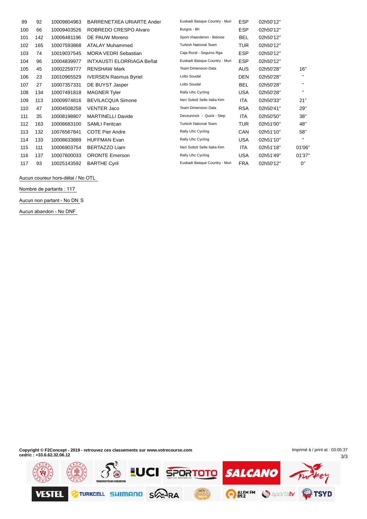| 99  | 92  | 10009804963 | BARRENETXEA URIARTE Ander        | Euskadi Basque Country - Muri | <b>ESP</b> | 02h50'12" |              |
|-----|-----|-------------|----------------------------------|-------------------------------|------------|-----------|--------------|
| 100 | 66  | 10009403526 | ROBREDO CRESPO Alvaro            | Burgos - Bh                   | <b>ESP</b> | 02h50'12" |              |
| 101 | 142 | 10006481196 | DE PAUW Moreno                   | Sport Vlaanderen - Baloise    | <b>BEL</b> | 02h50'12" |              |
| 102 | 165 | 10007593868 | ATALAY Muhammed                  | <b>Turkish National Team</b>  | TUR.       | 02h50'12" |              |
| 103 | 74  | 10019037545 | <b>MORA VEDRI Sebastian</b>      | Caja Rural - Seguros Rga      | <b>ESP</b> | 02h50'12" |              |
| 104 | 96  | 10004839977 | <b>INTXAUSTI ELORRIAGA Beñat</b> | Euskadi Basque Country - Muri | <b>ESP</b> | 02h50'12" |              |
| 105 | 45  | 10002259777 | <b>RENSHAW Mark</b>              | <b>Team Dimension Data</b>    | AUS.       | 02h50'28" | 16"          |
| 106 | 23  | 10010965529 | <b>IVERSEN Rasmus Byriel</b>     | Lotto Soudal                  | <b>DEN</b> | 02h50'28" | $\mathbf{H}$ |
| 107 | 27  | 10007357331 | DE BUYST Jasper                  | Lotto Soudal                  | BEL        | 02h50'28" | $\mathbf{H}$ |
| 108 | 134 | 10007491818 | <b>MAGNER Tyler</b>              | Rally Uhc Cycling             | USA        | 02h50'28" | $\mathbf{H}$ |
| 109 | 113 | 10009974816 | <b>BEVILACQUA Simone</b>         | Neri Sottoli Selle Italia Ktm | <b>ITA</b> | 02h50'33" | 21"          |
| 110 | 47  | 10004508258 | <b>VENTER Jaco</b>               | <b>Team Dimension Data</b>    | <b>RSA</b> | 02h50'41" | 29"          |
| 111 | 35  | 10008198807 | <b>MARTINELLI Davide</b>         | Deceuninck - Quick - Step     | <b>ITA</b> | 02h50'50" | 38"          |
| 112 | 163 | 10008683100 | <b>SAMLI Feritcan</b>            | <b>Turkish National Team</b>  | TUR.       | 02h51'00" | 48"          |
| 113 | 132 | 10076567841 | <b>COTE Pier Andre</b>           | Rally Uhc Cycling             | <b>CAN</b> | 02h51'10" | 58"          |
| 114 | 133 | 10008633889 | <b>HUFFMAN Evan</b>              | Rally Uhc Cycling             | <b>USA</b> | 02h51'10" | $\mathbf{H}$ |
| 115 | 111 | 10006903754 | <b>BERTAZZO Liam</b>             | Neri Sottoli Selle Italia Ktm | ITA        | 02h51'18" | 01'06'       |
| 116 | 137 | 10007600033 | <b>ORONTE Emerson</b>            | Rally Uhc Cycling             | USA        | 02h51'49" | 01'37'       |
| 117 | 93  | 10025143592 | <b>BARTHE Cyril</b>              | Euskadi Basque Country - Muri | <b>FRA</b> | 02h50'12" | 0"           |

Aucun coureur hors-délai / No OTL

**Nombre de partants : 117**

**Aucun non partant - No DN** S

**Aucun abandon - No DNF**

**Copyright © F2Concept - 2019 - retrouvez ces classements sur www.votrecourse.com cedric : +33.6.62.32.06.12**

3/3 Imprimé à / print at : 03:05:37

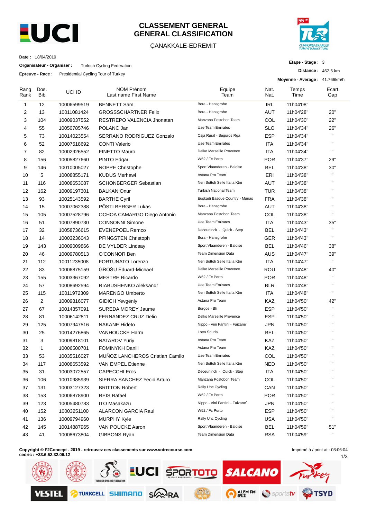

### **CLASSEMENT GENERAL GENERAL CLASSIFICATION**

#### ÇANAKKALE-EDREMIT



**Etape - Stage :** 3

**Distance :** 462.6 km

**Date :** 18/04/2019

**Organisateur - Organiser :** Turkish Cycling Federation

**Epreuve - Race :** Presidential Cycling Tour of Turkey

|                |                    |             |                                           |                                 |              | Moyenne - Average: 41.766km/h |              |
|----------------|--------------------|-------------|-------------------------------------------|---------------------------------|--------------|-------------------------------|--------------|
| Rang<br>Rank   | Dos.<br><b>Bib</b> | UCI ID      | <b>NOM Prénom</b><br>Last name First Name | Equipe<br>Team                  | Nat.<br>Nat. | Temps<br>Time                 | Ecart<br>Gap |
| 1              | 12                 | 10006599519 | <b>BENNETT Sam</b>                        | Bora - Hansgrohe                | IRL          | 11h04'08"                     |              |
| 2              | 13                 | 10011081424 | <b>GROSSSCHARTNER Felix</b>               | Bora - Hansgrohe                | AUT          | 11h04'28"                     | 20"          |
| 3              | 104                | 10009037552 | RESTREPO VALENCIA Jhonatan                | Manzana Postobon Team           | COL          | 11h04'30"                     | 22"          |
| 4              | 55                 | 10050785746 | POLANC Jan                                | <b>Uae Team Emirates</b>        | <b>SLO</b>   | 11h04'34"                     | 26"          |
| 5              | 73                 | 10014023554 | SERRANO RODRIGUEZ Gonzalo                 | Caja Rural - Seguros Rga        | <b>ESP</b>   | 11h04'34"                     | $\mathbf{u}$ |
| 6              | 52                 | 10007518692 | <b>CONTI Valerio</b>                      | Uae Team Emirates               | ITA          | 11h04'34"                     | $\mathbf{u}$ |
| $\overline{7}$ | 82                 | 10002926552 | <b>FINETTO Mauro</b>                      | Delko Marseille Provence        | ITA          | 11h04'34"                     | $\mathbf{H}$ |
| 8              | 156                | 10005827660 | PINTO Edgar                               | W52 / Fc Porto                  | <b>POR</b>   | 11h04'37"                     | 29"          |
| 9              | 146                | 10010005027 | NOPPE Christophe                          | Sport Vlaanderen - Baloise      | <b>BEL</b>   | 11h04'38"                     | 30"          |
| 10             | 5                  | 10008855171 | <b>KUDUS Merhawi</b>                      | Astana Pro Team                 | ERI          | 11h04'38"                     | $\mathbf{H}$ |
| 11             | 116                | 10008653087 | <b>SCHONBERGER Sebastian</b>              | Neri Sottoli Selle Italia Ktm   | AUT          | 11h04'38"                     | $\mathbf{H}$ |
| 12             | 162                | 10009197301 | <b>BALKAN Onur</b>                        | Turkish National Team           | <b>TUR</b>   | 11h04'38"                     | $\mathbf{H}$ |
| 13             | 93                 | 10025143592 | <b>BARTHE Cyril</b>                       | Euskadi Basque Country - Murias | <b>FRA</b>   | 11h04'38"                     | $\mathbf{H}$ |
| 14             | 15                 | 10007062388 | PÖSTLBERGER Lukas                         | Bora - Hansgrohe                | AUT          | 11h04'38"                     | $\mathbf{H}$ |
| 15             | 105                | 10007528796 | OCHOA CAMARGO Diego Antonio               | Manzana Postobon Team           | COL          | 11h04'38"                     | $\mathbf{H}$ |
| 16             | 51                 | 10007890730 | <b>CONSONNI Simone</b>                    | <b>Uae Team Emirates</b>        | <b>ITA</b>   | 11h04'43"                     | 35"          |
| 17             | 32                 | 10058736615 | <b>EVENEPOEL Remco</b>                    | Deceuninck - Quick - Step       | <b>BEL</b>   | 11h04'43"                     | $\mathbf{u}$ |
| 18             | 14                 | 10003236043 | PFINGSTEN Christoph                       | Bora - Hansgrohe                | <b>GER</b>   | 11h04'43"                     | $\mathbf{H}$ |
| 19             | 143                | 10009009866 | DE VYLDER Lindsay                         | Sport Vlaanderen - Baloise      | BEL          | 11h04'46"                     | 38"          |
| 20             | 46                 | 10009780513 | O'CONNOR Ben                              | <b>Team Dimension Data</b>      | <b>AUS</b>   | 11h04'47"                     | 39"          |
| 21             | 112                | 10011235008 | <b>FORTUNATO Lorenzo</b>                  | Neri Sottoli Selle Italia Ktm   | ITA          | 11h04'47"                     | $\mathbf{u}$ |
| 22             | 83                 | 10006875159 | GROŠU Eduard-Michael                      | Delko Marseille Provence        | ROU          | 11h04'48"                     | 40"          |
| 23             | 155                | 10003367092 | <b>MESTRE Ricardo</b>                     | W52 / Fc Porto                  | <b>POR</b>   | 11h04'48"                     | $\mathbf{H}$ |
| 24             | 57                 | 10008692594 | RIABUSHENKO Aleksandr                     | Uae Team Emirates               | <b>BLR</b>   | 11h04'48"                     | $\mathbf{H}$ |
| 25             | 115                | 10011972309 | <b>MARENGO Umberto</b>                    | Neri Sottoli Selle Italia Ktm   | ITA          | 11h04'48"                     | $\mathbf{H}$ |
| 26             | 2                  | 10009816077 | <b>GIDICH Yevgeniy</b>                    | Astana Pro Team                 | KAZ          | 11h04'50"                     | 42"          |
| 27             | 67                 | 10014357091 | <b>SUREDA MOREY Jaume</b>                 | Burgos - Bh                     | <b>ESP</b>   | 11h04'50"                     | $\mathbf{H}$ |
| 28             | 81                 | 10006142811 | FERNANDEZ CRUZ Delio                      | Delko Marseille Provence        | <b>ESP</b>   | 11h04'50"                     | $\mathbf{H}$ |
| 29             | 125                | 10007947516 | <b>NAKANE Hideto</b>                      | Nippo - Vini Fantini - Faizane` | JPN          | 11h04'50"                     | $\mathbf{H}$ |
| 30             | 25                 | 10014276865 | <b>VANHOUCKE Harm</b>                     | Lotto Soudal                    | <b>BEL</b>   | 11h04'50"                     | $\mathbf{H}$ |
| 31             | 3                  | 10009818101 | NATAROV Yuriy                             | Astana Pro Team                 | KAZ          | 11h04'50"                     | $\mathbf{H}$ |
| 32             | 1                  | 10006500701 | <b>FOMINYKH Daniil</b>                    | Astana Pro Team                 | KAZ          | 11h04'50"                     | $\mathbf{H}$ |
| 33             | 53                 | 10035516027 | MUNOZ LANCHEROS Cristian Camilo           | Uae Team Emirates               | COL          | 11h04'50"                     |              |
| 34             | 117                | 10008653592 | VAN EMPEL Etienne                         | Neri Sottoli Selle Italia Ktm   | <b>NED</b>   | 11h04'50"                     | п            |
| 35             | 31                 | 10003072557 | <b>CAPECCHI Eros</b>                      | Deceuninck - Quick - Step       | ITA          | 11h04'50"                     | $\mathbf{H}$ |
| 36             | 106                | 10010985939 | SIERRA SANCHEZ Yecid Arturo               | Manzana Postobon Team           | COL          | 11h04'50"                     | $\mathbf{H}$ |
| 37             | 131                | 10003127323 | <b>BRITTON Robert</b>                     | Rally Uhc Cycling               | CAN          | 11h04'50"                     | $\mathbf{H}$ |
| 38             | 153                | 10006878900 | <b>REIS Rafael</b>                        | W52 / Fc Porto                  | <b>POR</b>   | 11h04'50"                     | $\mathbf{H}$ |
| 39             | 123                | 10005480783 | <b>ITO Masakazu</b>                       | Nippo - Vini Fantini - Faizane` | <b>JPN</b>   | 11h04'50"                     | $\mathbf{H}$ |
| 40             | 152                | 10003251100 | <b>ALARCON GARCIA Raul</b>                | W52 / Fc Porto                  | <b>ESP</b>   | 11h04'50"                     | $\mathbf{H}$ |
| 41             | 136                | 10009794960 | <b>MURPHY Kyle</b>                        | Rally Uhc Cycling               | <b>USA</b>   | 11h04'50"                     | $\mathbf{H}$ |
| 42             | 145                | 10014887965 | VAN POUCKE Aaron                          | Sport Vlaanderen - Baloise      | <b>BEL</b>   | 11h04'59"                     | 51"          |
| 43             | 41                 | 10008673804 | GIBBONS Ryan                              | <b>Team Dimension Data</b>      | <b>RSA</b>   | 11h04'59"                     | $\mathbf{u}$ |
|                |                    |             |                                           |                                 |              |                               |              |

**Copyright © F2Concept - 2019 - retrouvez ces classements sur www.votrecourse.com**

**cedric : +33.6.62.32.06.12**

1/3 Imprimé à / print at : 03:06:04

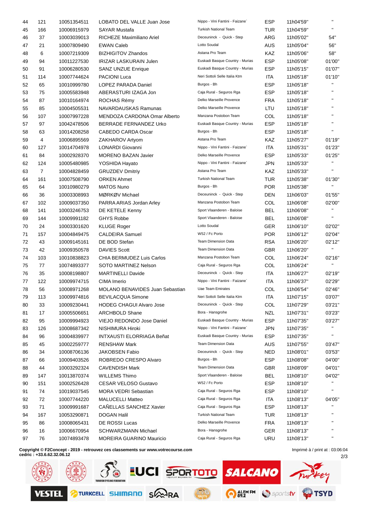| 44 | 121            | 10051354511 | LOBATO DEL VALLE Juan Jose             | Nippo - Vini Fantini - Faizane  | ESP        | 11h04'59" |                        |
|----|----------------|-------------|----------------------------------------|---------------------------------|------------|-----------|------------------------|
| 45 | 166            | 10006915979 | <b>SAYAR Mustafa</b>                   | <b>Turkish National Team</b>    | TUR        | 11h04'59" | $\mathbf{H}$           |
| 46 | 37             | 10003039013 | RICHEZE Maximiliano Ariel              | Deceuninck - Quick - Step       | <b>ARG</b> | 11h05'02" | 54"                    |
| 47 | 21             | 10007809490 | <b>EWAN Caleb</b>                      | Lotto Soudal                    | AUS        | 11h05'04" | 56"                    |
| 48 | 6              | 10007219309 | <b>BIZHIGITOV Zhandos</b>              | Astana Pro Team                 | KAZ        | 11h05'06" | 58"                    |
| 49 | 94             | 10011227530 | <b>IRIZAR LASKURAIN Julen</b>          | Euskadi Basque Country - Murias | <b>ESP</b> | 11h05'08" | 01'00"                 |
| 50 | 91             | 10006280530 | <b>SANZ UNZUE Enrique</b>              | Euskadi Basque Country - Murias | <b>ESP</b> | 11h05'15" | 01'07"                 |
| 51 | 114            | 10007744624 | <b>PACIONI Luca</b>                    | Neri Sottoli Selle Italia Ktm   | ITA        | 11h05'18" | 01'10"                 |
| 52 | 65             | 10010999780 | LOPEZ PARADA Daniel                    | Burgos - Bh                     | <b>ESP</b> | 11h05'18" |                        |
| 53 | 75             | 10005583948 | ABERASTURI IZAGA Jon                   | Caja Rural - Seguros Rga        | <b>ESP</b> | 11h05'18" | $\mathbf{H}$           |
| 54 | 87             | 10010164974 | ROCHAS Rémy                            | Delko Marseille Provence        | <b>FRA</b> | 11h05'18" | $\mathbf{H}$           |
| 55 | 85             | 10004505531 | NAVARDAUSKAS Ramunas                   | Delko Marseille Provence        | LTU        | 11h05'18" | $\mathbf{H}$           |
| 56 | 107            | 10007997228 | MENDOZA CARDONA Omar Alberto           | Manzana Postobon Team           | COL        | 11h05'18" | $\mathbf{H}$           |
| 57 | 97             | 10042478506 | BERRADE FERNANDEZ Urko                 | Euskadi Basque Country - Murias | <b>ESP</b> | 11h05'18" | $\mathbf{H}$           |
| 58 | 63             | 10014208258 | CABEDO CARDA Oscar                     | Burgos - Bh                     | <b>ESP</b> | 11h05'18" | $\mathbf{H}$           |
| 59 | 4              | 10006895569 | ZAKHAROV Artyom                        | Astana Pro Team                 | KAZ        | 11h05'27" | 01'19"                 |
| 60 | 127            | 10014704978 | <b>LONARDI Giovanni</b>                | Nippo - Vini Fantini - Faizane` | <b>ITA</b> | 11h05'31" | 01'23"                 |
| 61 | 84             | 10002928370 | <b>MORENO BAZAN Javier</b>             | Delko Marseille Provence        | <b>ESP</b> | 11h05'33" | 01'25"                 |
| 62 | 124            | 10005480985 | YOSHIDA Hayato                         | Nippo - Vini Fantini - Faizane` | JPN        | 11h05'33" | $\mathbf{H}$           |
| 63 | $\overline{7}$ | 10004828459 | <b>GRUZDEV Dmitriy</b>                 | Astana Pro Team                 | KAZ        | 11h05'33" | $\mathbf{u}$           |
| 64 | 161            | 10007508790 | <b>ORKEN Ahmet</b>                     | <b>Turkish National Team</b>    | TUR        | 11h05'38" | 01'30"                 |
| 65 | 64             | 10010980279 | <b>MATOS Nuno</b>                      | Burgos - Bh                     | <b>POR</b> | 11h05'38" | $\mathbf{H}$           |
|    | 36             |             | MØRKØV Michael                         | Deceuninck - Quick - Step       | DEN        | 11h06'03" | 01'55"                 |
| 66 | 102            | 10003308993 | PARRA ARIAS Jordan Arley               | Manzana Postobon Team           | COL        | 11h06'08" | 02'00"                 |
| 67 |                | 10009037350 |                                        | Sport Vlaanderen - Baloise      | <b>BEL</b> |           | H.                     |
| 68 | 141            | 10003246753 | DE KETELE Kenny                        | Sport Vlaanderen - Baloise      |            | 11h06'08" | $\mathbf{H}$           |
| 69 | 144            | 10009991182 | <b>GHYS Robbe</b>                      | Lotto Soudal                    | <b>BEL</b> | 11h06'08" |                        |
| 70 | 24             | 10003301620 | <b>KLUGE Roger</b>                     |                                 | GER.       | 11h06'10" | 02'02"                 |
| 71 | 157            | 10004849475 | <b>CALDEIRA Samuel</b>                 | W52 / Fc Porto                  | <b>POR</b> | 11h06'12" | 02'04"                 |
| 72 | 43             | 10009145161 | DE BOD Stefan                          | <b>Team Dimension Data</b>      | <b>RSA</b> | 11h06'20" | 02'12"<br>$\mathbf{H}$ |
| 73 | 42             | 10009350578 | <b>DAVIES Scott</b>                    | Team Dimension Data             | <b>GBR</b> | 11h06'20" |                        |
| 74 | 103            | 10010838823 | CHIA BERMUDEZ Luis Carlos              | Manzana Postobon Team           | COL        | 11h06'24" | 02'16"<br>$\mathbf{H}$ |
| 75 | 77             | 10074893377 | SOTO MARTINEZ Nelson                   | Caja Rural - Seguros Rga        | COL        | 11h06'24" |                        |
| 76 | 35             | 10008198807 | <b>MARTINELLI Davide</b>               | Deceuninck - Quick - Step       | ITA        | 11h06'27" | 02'19"                 |
| 77 | 122            | 10009974715 | CIMA Imerio                            | Nippo - Vini Fantini - Faizane` | <b>ITA</b> | 11h06'37" | 02'29"                 |
| 78 | 56             | 10008971268 | <b>MOLANO BENAVIDES Juan Sebastian</b> | <b>Uae Team Emirates</b>        | COL        | 11h06'54" | 02'46"                 |
| 79 | 113            | 10009974816 | BEVILACQUA Simone                      | Neri Sottoli Selle Italia Ktm   | <b>ITA</b> | 11h07'15" | 03'07"                 |
| 80 | 33             | 10009230441 | <b>HODEG CHAGUI Alvaro Jose</b>        | Deceuninck - Quick - Step       | COL        | 11h07'29" | 03'21"                 |
| 81 | 17             | 10005506651 | <b>ARCHBOLD Shane</b>                  | Bora - Hansgrohe                | <b>NZL</b> | 11h07'31" | 03'23"                 |
| 82 | 95             | 10009994923 | VIEJO REDONDO Jose Daniel              | Euskadi Basque Country - Murias | <b>ESP</b> | 11h07'35" | 03'27"                 |
| 83 | 126            | 10008687342 | NISHIMURA Hiroki                       | Nippo - Vini Fantini - Faizane` | <b>JPN</b> | 11h07'35" | $\mathbf{H}$           |
| 84 | 96             | 10004839977 | <b>INTXAUSTI ELORRIAGA Beñat</b>       | Euskadi Basque Country - Murias | <b>ESP</b> | 11h07'35" |                        |
| 85 | 45             | 10002259777 | <b>RENSHAW Mark</b>                    | <b>Team Dimension Data</b>      | <b>AUS</b> | 11h07'55" | 03'47"                 |
| 86 | 34             | 10008706136 | JAKOBSEN Fabio                         | Deceuninck - Quick - Step       | NED        | 11h08'01" | 03'53"                 |
| 87 | 66             | 10009403526 | ROBREDO CRESPO Alvaro                  | Burgos - Bh                     | <b>ESP</b> | 11h08'08" | 04'00"                 |
| 88 | 44             | 10003292324 | <b>CAVENDISH Mark</b>                  | <b>Team Dimension Data</b>      | <b>GBR</b> | 11h08'09" | 04'01"                 |
| 89 | 147            | 10013870374 | <b>WILLEMS Thimo</b>                   | Sport Vlaanderen - Baloise      | <b>BEL</b> | 11h08'10" | 04'02"                 |
| 90 | 151            | 10002526428 | CESAR VELOSO Gustavo                   | W52 / Fc Porto                  | <b>ESP</b> | 11h08'10" | $\mathbf{H}$           |
| 91 | 74             | 10019037545 | <b>MORA VEDRI Sebastian</b>            | Caja Rural - Seguros Rga        | <b>ESP</b> | 11h08'10" |                        |
| 92 | 72             | 10007744220 | <b>MALUCELLI Matteo</b>                | Caja Rural - Seguros Rga        | ITA        | 11h08'13" | 04'05"                 |
| 93 | 71             | 10009991687 | CANELLAS SANCHEZ Xavier                | Caja Rural - Seguros Rga        | <b>ESP</b> | 11h08'13" |                        |
| 94 | 167            | 10053290871 | <b>DOGAN Halil</b>                     | <b>Turkish National Team</b>    | TUR        | 11h08'13" | $\mathbf{H}$           |
| 95 | 86             | 10008065431 | DE ROSSI Lucas                         | Delko Marseille Provence        | <b>FRA</b> | 11h08'13" |                        |
| 96 | 16             | 10006670954 | <b>SCHWARZMANN Michael</b>             | Bora - Hansgrohe                | <b>GER</b> | 11h08'13" | $\mathbf{H}$           |
| 97 | 76             | 10074893478 | MOREIRA GUARINO Mauricio               | Caja Rural - Seguros Rga        | URU        | 11h08'13" |                        |
|    |                |             |                                        |                                 |            |           |                        |

**Copyright © F2Concept - 2019 - retrouvez ces classements sur www.votrecourse.com**

**cedric : +33.6.62.32.06.12**

2/3 Imprimé à / print at : 03:06:04

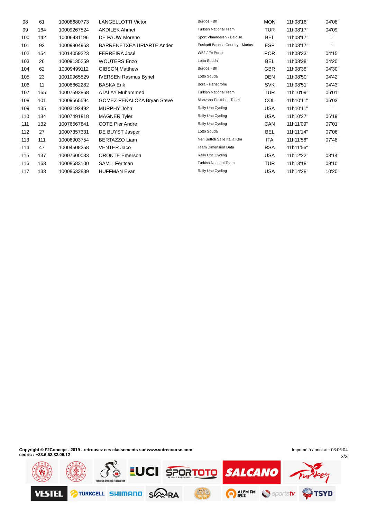| 98  | 61  | 10008680773 | <b>LANGELLOTTI Victor</b>    | Burgos - Bh                     | <b>MON</b> | 11h08'16" | 04'08"       |
|-----|-----|-------------|------------------------------|---------------------------------|------------|-----------|--------------|
| 99  | 164 | 10009267524 | <b>AKDILEK Ahmet</b>         | <b>Turkish National Team</b>    | TUR        | 11h08'17" | 04'09"       |
| 100 | 142 | 10006481196 | DE PAUW Moreno               | Sport Vlaanderen - Baloise      | <b>BEL</b> | 11h08'17" | п.           |
| 101 | 92  | 10009804963 | BARRENETXEA URIARTE Ander    | Euskadi Basque Country - Murias | <b>ESP</b> | 11h08'17" | $\mathbf{H}$ |
| 102 | 154 | 10014059223 | FERREIRA José                | W52 / Fc Porto                  | <b>POR</b> | 11h08'23" | 04'15"       |
| 103 | 26  | 10009135259 | <b>WOUTERS Enzo</b>          | Lotto Soudal                    | <b>BEL</b> | 11h08'28" | 04'20"       |
| 104 | 62  | 10009499112 | <b>GIBSON Matthew</b>        | Burgos - Bh                     | <b>GBR</b> | 11h08'38" | 04'30"       |
| 105 | 23  | 10010965529 | <b>IVERSEN Rasmus Byriel</b> | Lotto Soudal                    | <b>DEN</b> | 11h08'50" | 04'42"       |
| 106 | 11  | 10008662282 | <b>BASKA Erik</b>            | Bora - Hansgrohe                | <b>SVK</b> | 11h08'51" | 04'43"       |
| 107 | 165 | 10007593868 | <b>ATALAY Muhammed</b>       | <b>Turkish National Team</b>    | <b>TUR</b> | 11h10'09" | 06'01"       |
| 108 | 101 | 10009565594 | GOMEZ PEÑALOZA Bryan Steve   | Manzana Postobon Team           | <b>COL</b> | 11h10'11" | 06'03"       |
| 109 | 135 | 10003192492 | MURPHY John                  | Rally Uhc Cycling               | <b>USA</b> | 11h10'11" | п.           |
| 110 | 134 | 10007491818 | <b>MAGNER Tyler</b>          | Rally Uhc Cycling               | <b>USA</b> | 11h10'27" | 06'19"       |
| 111 | 132 | 10076567841 | <b>COTE Pier Andre</b>       | Rally Uhc Cycling               | CAN        | 11h11'09" | 07'01"       |
| 112 | 27  | 10007357331 | DE BUYST Jasper              | Lotto Soudal                    | <b>BEL</b> | 11h11'14" | 07'06"       |
| 113 | 111 | 10006903754 | <b>BERTAZZO Liam</b>         | Neri Sottoli Selle Italia Ktm   | ITA        | 11h11'56" | 07'48"       |
| 114 | 47  | 10004508258 | <b>VENTER Jaco</b>           | <b>Team Dimension Data</b>      | <b>RSA</b> | 11h11'56" | $\mathbf{H}$ |
| 115 | 137 | 10007600033 | <b>ORONTE Emerson</b>        | Rally Uhc Cycling               | USA        | 11h12'22" | 08'14"       |
| 116 | 163 | 10008683100 | <b>SAMLI Feritcan</b>        | <b>Turkish National Team</b>    | TUR        | 11h13'18" | 09'10"       |
| 117 | 133 | 10008633889 | <b>HUFFMAN Evan</b>          | Rally Uhc Cycling               | <b>USA</b> | 11h14'28" | 10'20"       |

**Copyright © F2Concept - 2019 - retrouvez ces classements sur www.votrecourse.com cedric : +33.6.62.32.06.12**

3/3 Imprimé à / print at : 03:06:04

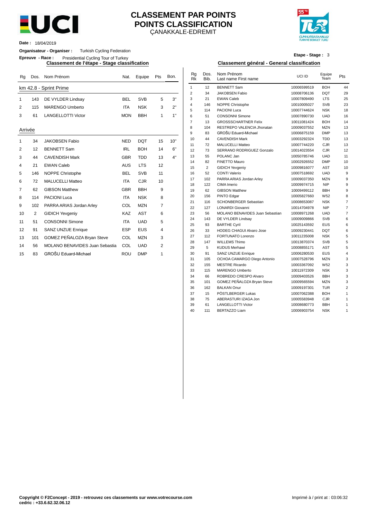

#### ÇANAKKALE-EDREMIT **CLASSEMENT PAR POINTS POINTS CLASSIFICATION**



**Date :** 18/04/2019

#### **Organisateur - Organiser :** Turkish Cycling Federation

**Epreuve - Race :** Presidential Cycling Tour of Turkey

| Rg          | Dos. | Nom Prénom                            | Nat.       | Equipe     | Pts            | Bon. | Rg<br><b>Rk</b> | Dos.<br>Bib.   | Nom Prénom<br>Last name First name                     | UCI ID                     | Equipe<br>Team    | Pts            |
|-------------|------|---------------------------------------|------------|------------|----------------|------|-----------------|----------------|--------------------------------------------------------|----------------------------|-------------------|----------------|
|             |      | km 42.8 - Sprint Prime                |            |            |                |      | $\mathbf{1}$    | 12             | <b>BENNETT Sam</b>                                     | 10006599519                | <b>BOH</b>        | 44             |
|             |      |                                       |            |            |                |      | 2               | 34             | <b>JAKOBSEN Fabio</b>                                  | 10008706136                | <b>DQT</b>        | 29             |
| $\mathbf 1$ | 143  | DE VYLDER Lindsay                     | <b>BEL</b> | <b>SVB</b> | 5              | 3"   | 3               | 21             | <b>EWAN Caleb</b>                                      | 10007809490                | <b>LTS</b>        | 25             |
| 2           | 115  | <b>MARENGO Umberto</b>                | <b>ITA</b> | <b>NSK</b> | 3              | 2"   | 4               | 146            | <b>NOPPE Christophe</b>                                | 10010005027                | <b>SVB</b>        | 23             |
|             |      |                                       |            |            |                |      | 5               | 114            | <b>PACIONI Luca</b>                                    | 10007744624                | <b>NSK</b>        | 18             |
| 3           | 61   | <b>LANGELLOTTI Victor</b>             | <b>MON</b> | <b>BBH</b> | $\mathbf{1}$   | 1"   | 6               | 51             | <b>CONSONNI Simone</b>                                 | 10007890730                | <b>UAD</b>        | 16             |
|             |      |                                       |            |            |                |      | $\overline{7}$  | 13             | <b>GROSSSCHARTNER Felix</b>                            | 10011081424                | <b>BOH</b>        | 14             |
| Arrivée     |      |                                       |            |            |                |      | 8               | 104            | RESTREPO VALENCIA Jhonatan                             | 10009037552                | <b>MZN</b>        | 13             |
|             |      |                                       |            |            |                |      | 9               | 83             | GROŠU Eduard-Michael                                   | 10006875159                | <b>DMP</b>        | 13             |
| -1          | 34   | <b>JAKOBSEN Fabio</b>                 | <b>NED</b> | <b>DQT</b> | 15             | 10"  | 10              | 44             | <b>CAVENDISH Mark</b>                                  | 10003292324                | <b>TDD</b>        | 13             |
|             |      |                                       |            |            |                |      | 11              | 72             | <b>MALUCELLI Matteo</b>                                | 10007744220                | CJR               | 13             |
| 2           | 12   | <b>BENNETT Sam</b>                    | <b>IRL</b> | <b>BOH</b> | 14             | 6"   | 12              | 73             | SERRANO RODRIGUEZ Gonzalo                              | 10014023554                | <b>CJR</b>        | 12             |
| 3           | 44   | <b>CAVENDISH Mark</b>                 | <b>GBR</b> | <b>TDD</b> | 13             | 4"   | 13              | 55             | POLANC Jan                                             | 10050785746                | <b>UAD</b>        | 11             |
| 4           | 21   | <b>EWAN Caleb</b>                     | <b>AUS</b> | <b>LTS</b> | 12             |      | 14              | 82             | <b>FINETTO Mauro</b>                                   | 10002926552                | <b>DMP</b>        | 1 <sub>0</sub> |
|             |      |                                       |            |            |                |      | 15              | $\overline{2}$ | <b>GIDICH Yevgeniy</b>                                 | 10009816077                | <b>AST</b>        | 1 <sub>0</sub> |
| 5           | 146  | <b>NOPPE Christophe</b>               | <b>BEL</b> | <b>SVB</b> | 11             |      | 16              | 52             | <b>CONTI Valerio</b>                                   | 10007518692                | <b>UAD</b>        |                |
| 6           | 72   | <b>MALUCELLI Matteo</b>               | <b>ITA</b> | <b>CJR</b> | 10             |      | 17              | 102            | PARRA ARIAS Jordan Arley                               | 10009037350                | <b>MZN</b>        |                |
|             |      |                                       |            |            |                |      | 18              | 122            | CIMA Imerio                                            | 10009974715                | <b>NIP</b>        |                |
| 7           | 62   | <b>GIBSON Matthew</b>                 | <b>GBR</b> | <b>BBH</b> | 9              |      | 19              | 62             | <b>GIBSON Matthew</b>                                  | 10009499112                | <b>BBH</b>        |                |
| 8           | 114  | <b>PACIONI Luca</b>                   | <b>ITA</b> | <b>NSK</b> | 8              |      | 20              | 156            | PINTO Edgar                                            | 10005827660                | W <sub>52</sub>   |                |
| 9           | 102  | PARRA ARIAS Jordan Arley              | COL        | <b>MZN</b> | $\overline{7}$ |      | 21              | 116            | <b>SCHONBERGER Sebastian</b>                           | 10008653087                | <b>NSK</b>        |                |
|             |      |                                       |            |            |                |      | 22              | 127            | <b>LONARDI Giovanni</b>                                | 10014704978                | <b>NIP</b>        |                |
| 10          | 2    | <b>GIDICH Yevgeniy</b>                | <b>KAZ</b> | <b>AST</b> | 6              |      | 23              | 56             | MOLANO BENAVIDES Juan Sebastian                        | 10008971268                | <b>UAD</b>        |                |
| 11          | 51   | <b>CONSONNI Simone</b>                | <b>ITA</b> | <b>UAD</b> | 5              |      | 24              | 143            | DE VYLDER Lindsay                                      | 10009009866                | <b>SVB</b>        |                |
| 12          | 91   | SANZ UNZUE Enrique                    | <b>ESP</b> | <b>EUS</b> | 4              |      | 25<br>26        | 93<br>33       | <b>BARTHE Cyril</b><br><b>HODEG CHAGUI Alvaro Jose</b> | 10025143592                | EUS<br><b>DQT</b> |                |
|             |      |                                       |            |            |                |      | 27              | 112            | <b>FORTUNATO Lorenzo</b>                               | 10009230441<br>10011235008 | <b>NSK</b>        |                |
| 13          | 101  | GOMEZ PEÑALOZA Bryan Steve            | COL        | <b>MZN</b> | 3              |      | 28              |                | <b>WILLEMS Thimo</b>                                   |                            | <b>SVB</b>        |                |
| 14          | 56   | <b>MOLANO BENAVIDES Juan Sebastia</b> | COL        | <b>UAD</b> | $\overline{2}$ |      | 29              | 147<br>5       | <b>KUDUS Merhawi</b>                                   | 10013870374<br>10008855171 | <b>AST</b>        |                |
|             |      | GROŠU Eduard-Michael                  | ROU        | <b>DMP</b> | 1              |      | 30              | 91             | <b>SANZ UNZUE Enrique</b>                              | 10006280530                | EUS               |                |
| 15          | 83   |                                       |            |            |                |      |                 |                |                                                        |                            |                   |                |

# **Etape - Stage :** 3

#### **Classement de l'étape - Stage classification Classement général - General classification**

| Nat.       | Equipe     | Pts            | Bon. | Rg<br>Rk       | Dos.<br>Bib.   | Nom Prénom<br>Last name First name | UCI ID      | Equipe<br>Team | Pts              |
|------------|------------|----------------|------|----------------|----------------|------------------------------------|-------------|----------------|------------------|
|            |            |                |      | $\mathbf{1}$   | 12             | <b>BENNETT Sam</b>                 | 10006599519 | <b>BOH</b>     | 44               |
|            |            |                |      | $\overline{2}$ | 34             | <b>JAKOBSEN Fabio</b>              | 10008706136 | <b>DQT</b>     | 29               |
| BEL        | <b>SVB</b> | 5              | 3"   | 3              | 21             | <b>EWAN Caleb</b>                  | 10007809490 | <b>LTS</b>     | 25               |
|            | <b>NSK</b> |                | 2"   | 4              | 146            | NOPPE Christophe                   | 10010005027 | <b>SVB</b>     | 23               |
| ITA        |            | 3              |      | 5              | 114            | <b>PACIONI Luca</b>                | 10007744624 | <b>NSK</b>     | 18               |
| <b>MON</b> | <b>BBH</b> | 1              | 1"   | 6              | 51             | <b>CONSONNI Simone</b>             | 10007890730 | <b>UAD</b>     | 16               |
|            |            |                |      | $\overline{7}$ | 13             | <b>GROSSSCHARTNER Felix</b>        | 10011081424 | <b>BOH</b>     | 14               |
|            |            |                |      | 8              | 104            | RESTREPO VALENCIA Jhonatan         | 10009037552 | <b>MZN</b>     | 13               |
|            |            |                |      | 9              | 83             | GROŠU Eduard-Michael               | 10006875159 | <b>DMP</b>     | 13               |
| NED        | <b>DQT</b> | 15             | 10"  | 10             | 44             | <b>CAVENDISH Mark</b>              | 10003292324 | <b>TDD</b>     | 13               |
|            |            |                |      | 11             | 72             | <b>MALUCELLI Matteo</b>            | 10007744220 | <b>CJR</b>     | 13               |
| <b>IRL</b> | <b>BOH</b> | 14             | 6"   | 12             | 73             | SERRANO RODRIGUEZ Gonzalo          | 10014023554 | <b>CJR</b>     | 12               |
| GBR        | <b>TDD</b> | 13             | 4"   | 13             | 55             | POLANC Jan                         | 10050785746 | <b>UAD</b>     | 11               |
|            |            |                |      | 14             | 82             | <b>FINETTO Mauro</b>               | 10002926552 | <b>DMP</b>     | 10               |
| AUS        | <b>LTS</b> | 12             |      | 15             | $\overline{2}$ | <b>GIDICH Yevgeniy</b>             | 10009816077 | AST            | 10               |
| BEL        | <b>SVB</b> | 11             |      | 16             | 52             | <b>CONTI Valerio</b>               | 10007518692 | <b>UAD</b>     | 9                |
| ITA        | CJR        | 10             |      | 17             | 102            | PARRA ARIAS Jordan Arley           | 10009037350 | <b>MZN</b>     | 9                |
|            |            |                |      | 18             | 122            | CIMA Imerio                        | 10009974715 | <b>NIP</b>     | 9                |
| GBR        | <b>BBH</b> | 9              |      | 19             | 62             | <b>GIBSON Matthew</b>              | 10009499112 | <b>BBH</b>     | $\boldsymbol{9}$ |
| <b>ITA</b> | <b>NSK</b> | 8              |      | 20             | 156            | PINTO Edgar                        | 10005827660 | W52            | 8                |
|            |            |                |      | 21             | 116            | SCHONBERGER Sebastian              | 10008653087 | <b>NSK</b>     | 7                |
| COL        | <b>MZN</b> | 7              |      | 22             | 127            | <b>LONARDI Giovanni</b>            | 10014704978 | <b>NIP</b>     | $\overline{7}$   |
| KAZ        | <b>AST</b> | 6              |      | 23             | 56             | MOLANO BENAVIDES Juan Sebastian    | 10008971268 | <b>UAD</b>     | $\overline{7}$   |
| <b>ITA</b> | <b>UAD</b> | 5              |      | 24             | 143            | DE VYLDER Lindsay                  | 10009009866 | <b>SVB</b>     | 6                |
|            |            |                |      | 25             | 93             | <b>BARTHE Cyril</b>                | 10025143592 | <b>EUS</b>     | 6                |
| ESP        | <b>EUS</b> | $\overline{4}$ |      | 26             | 33             | <b>HODEG CHAGUI Alvaro Jose</b>    | 10009230441 | <b>DQT</b>     | 6                |
| COL        | <b>MZN</b> | 3              |      | 27             | 112            | FORTUNATO Lorenzo                  | 10011235008 | <b>NSK</b>     | 5                |
|            |            |                |      | 28             | 147            | <b>WILLEMS Thimo</b>               | 10013870374 | <b>SVB</b>     | 5                |
| COL        | <b>UAD</b> | $\overline{2}$ |      | 29             | 5              | <b>KUDUS Merhawi</b>               | 10008855171 | AST            | 5                |
| ₹Ου        | <b>DMP</b> | 1              |      | 30             | 91             | SANZ UNZUE Enrique                 | 10006280530 | <b>EUS</b>     | 4                |
|            |            |                |      | 31             | 105            | OCHOA CAMARGO Diego Antonio        | 10007528796 | <b>MZN</b>     | 3                |
|            |            |                |      | 32             | 155            | <b>MESTRE Ricardo</b>              | 10003367092 | W52            | 3                |
|            |            |                |      | 33             | 115            | <b>MARENGO Umberto</b>             | 10011972309 | <b>NSK</b>     | 3                |
|            |            |                |      | 34             | 66             | ROBREDO CRESPO Alvaro              | 10009403526 | <b>BBH</b>     | 3                |
|            |            |                |      | 35             | 101            | GOMEZ PEÑALOZA Bryan Steve         | 10009565594 | <b>MZN</b>     | 3                |
|            |            |                |      | 36             | 162            | <b>BALKAN Onur</b>                 | 10009197301 | <b>TUR</b>     | $\overline{2}$   |
|            |            |                |      | 37             | 15             | PÖSTLBERGER Lukas                  | 10007062388 | <b>BOH</b>     | $\mathbf{1}$     |
|            |            |                |      | 38             | 75             | ABERASTURI IZAGA Jon               | 10005583948 | CJR            | 1                |
|            |            |                |      | 39             | 61             | <b>LANGELLOTTI Victor</b>          | 10008680773 | <b>BBH</b>     | 1                |
|            |            |                |      | 40             | 111            | <b>BERTAZZO Liam</b>               | 10006903754 | <b>NSK</b>     | $\mathbf{1}$     |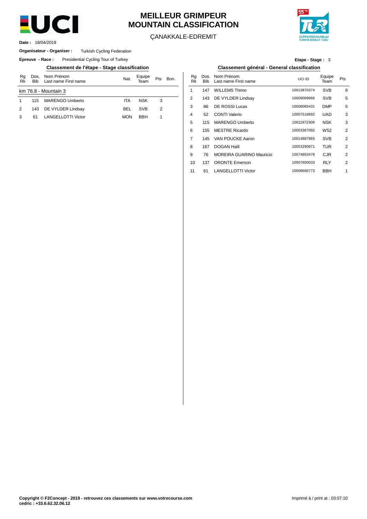

# **MEILLEUR GRIMPEUR MOUNTAIN CLASSIFICATION**

ÇANAKKALE-EDREMIT



18/04/2019 **Date :**

#### **Organisateur - Organiser :** Turkish Cycling Federation

**Epreuve - Race:** Presidential Cycling Tour of Turkey

**Classement de l'étape - Stage classification Classement général - General classification**

| Rq<br>Rk | <b>Bib</b> | Dos. Nom Prénom<br>Last name First name | Nat.       | Equipe<br>Team | <b>Pts</b> | Bon. | Ra<br>Rk |     | Dos. Nom Prénom<br>Bib Last name Firs |
|----------|------------|-----------------------------------------|------------|----------------|------------|------|----------|-----|---------------------------------------|
|          |            | km 76.8 - Mountain 3                    |            |                |            |      |          | 147 | <b>WILLEMS Thire</b>                  |
|          | 115        | <b>MARENGO Umberto</b>                  | <b>ITA</b> | <b>NSK</b>     | 3          |      |          | 143 | DE VYLDER L                           |
|          | 143        | DE VYLDER Lindsay                       | <b>BEL</b> | <b>SVB</b>     | 2          |      | 3        | 86  | DE ROSSI Lu                           |
|          | 61         | <b>LANGELLOTTI Victor</b>               | <b>MON</b> | <b>BBH</b>     |            |      | 4        | 52  | <b>CONTI Valerio</b>                  |
|          |            |                                         |            |                |            |      |          |     | 115 MARENGO U                         |

**Etape - Stage :** 3

| Nom Prénom<br>Last name First name | Nat.       | Equipe<br>Team | Pts | Bon. | Ra<br>Rk | Dos.<br><b>Bib</b> | Nom Prénom<br>Last name First name | UCI ID      | Equipe<br>Team  | Pts |
|------------------------------------|------------|----------------|-----|------|----------|--------------------|------------------------------------|-------------|-----------------|-----|
| lountain 3                         |            |                |     |      |          | 147                | <b>WILLEMS Thimo</b>               | 10013870374 | <b>SVB</b>      | 8   |
| MARENGO Umberto                    | <b>ITA</b> | <b>NSK</b>     | 3   |      | 2        | 143                | DE VYLDER Lindsay                  | 10009009866 | <b>SVB</b>      | 5   |
| DE VYLDER Lindsay                  | <b>BEL</b> | <b>SVB</b>     | 2   |      | 3        | 86                 | <b>DE ROSSI Lucas</b>              | 10008065431 | <b>DMP</b>      | 5   |
| LANGELLOTTI Victor                 | <b>MON</b> | <b>BBH</b>     | 1   |      | 4        | 52                 | <b>CONTI Valerio</b>               | 10007518692 | <b>UAD</b>      | 3   |
|                                    |            |                |     |      | 5        | 115                | <b>MARENGO Umberto</b>             | 10011972309 | <b>NSK</b>      | 3   |
|                                    |            |                |     |      | 6        | 155                | <b>MESTRE Ricardo</b>              | 10003367092 | W <sub>52</sub> | 2   |
|                                    |            |                |     |      | 7        | 145                | VAN POUCKE Aaron                   | 10014887965 | <b>SVB</b>      | 2   |
|                                    |            |                |     |      | 8        | 167                | <b>DOGAN Halil</b>                 | 10053290871 | TUR             | 2   |
|                                    |            |                |     |      | 9        | 76                 | <b>MOREIRA GUARINO Mauricio</b>    | 10074893478 | <b>CJR</b>      | 2   |
|                                    |            |                |     |      | 10       | 137                | <b>ORONTE Emerson</b>              | 10007600033 | <b>RLY</b>      | 2   |
|                                    |            |                |     |      | 11       | 61                 | <b>LANGELLOTTI Victor</b>          | 10008680773 | <b>BBH</b>      | 1   |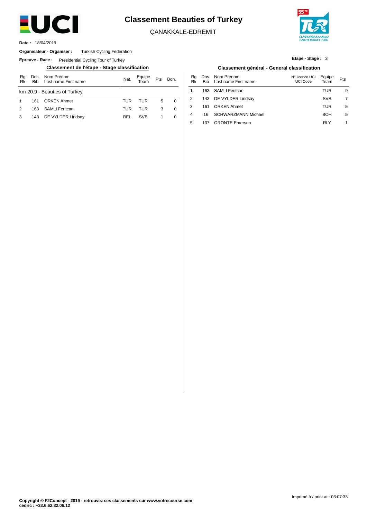

# **Classement Beauties of Turkey**

ÇANAKKALE-EDREMIT

137 ORONTE Emerson

5



**Etape - Stage :** 3

5

RLY

5

1

18/04/2019 **Date :**

#### **Organisateur - Organiser :** Turkish Cycling Federation

**Epreuve - Race:** Presidential Cycling Tour of Turkey

#### **Classement de l'étape - Stage classification Classement général - General classification**

| Rq<br>Rk | Dos.<br><b>Bib</b> | Nom Prénom<br>Last name First name | Nat. | Equipe<br>Team | Pts | Bon. | Ra<br>Rk | Dos.<br>Bib | Nom Prénom<br>Last name First name | N° licence UCI<br>UCI Code | Equipe<br>Team | Pts |
|----------|--------------------|------------------------------------|------|----------------|-----|------|----------|-------------|------------------------------------|----------------------------|----------------|-----|
|          |                    | km 20.9 - Beauties of Turkey       |      |                |     |      |          | 163         | SAMLI Feritcan                     |                            | TUR            |     |
|          | 161                | <b>ORKEN Ahmet</b>                 | TUR  | TUR            | 5   | 0    |          | 143         | DE VYLDER Lindsay                  |                            | <b>SVB</b>     |     |
| 2        | 163                | SAMLI Feritcan                     | TUR  | TUR            | 3   | 0    |          | 161         | <b>ORKEN Ahmet</b>                 |                            | TUR            |     |
| 3        | 143                | DE VYLDER Lindsay                  | BEL  | <b>SVB</b>     |     | 0    | 4        | 16          | <b>SCHWARZMANN Michael</b>         |                            | <b>BOH</b>     |     |
|          |                    |                                    |      |                |     |      | Е        | 127         | <b>ODONITE Emergen</b>             |                            | <b>DIV</b>     |     |

| Classement général - General classification |          |  |                                             |                                   |            |     |  |  |  |  |  |
|---------------------------------------------|----------|--|---------------------------------------------|-----------------------------------|------------|-----|--|--|--|--|--|
| Bon.                                        | Ra<br>Rk |  | Dos. Nom Prénom<br>Bib Last name First name | N° licence UCI Equipe<br>UCI Code | Team       | Pts |  |  |  |  |  |
|                                             |          |  | 163 SAMLI Feritcan                          |                                   | TUR        | 9   |  |  |  |  |  |
|                                             |          |  | 143 DE VYLDER Lindsay                       |                                   | <b>SVB</b> |     |  |  |  |  |  |

| Copyright © F2Concept - 2019 - retrouvez ces classements sur www.votrecourse.com |  |  |
|----------------------------------------------------------------------------------|--|--|
| cedric : +33.6.62.32.06.12                                                       |  |  |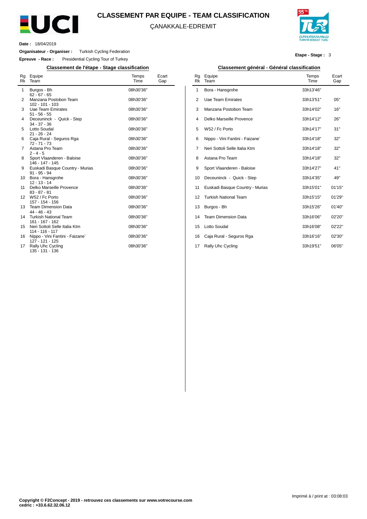

#### **CLASSEMENT PAR EQUIPE - TEAM CLASSIFICATION**

ÇANAKKALE-EDREMIT



**Etape - Stage :** 3

**Date :** 18/04/2019

L.

**Organisateur - Organiser :** Turkish Cycling Federation

**Epreuve - Race :** Presidential Cycling Tour of Turkey

**Classement de l'étape - Stage classification Classement général - Général classification**

| Rg<br><b>Rk</b> | Equipe<br>Team                                     | Temps<br>Time | Ecart<br>Gap |
|-----------------|----------------------------------------------------|---------------|--------------|
| 1               | Burgos - Bh<br>$62 - 67 - 65$                      | 08h30'36"     |              |
| 2               | Manzana Postobon Team<br>102 - 101 - 103           | 08h30'36"     |              |
| 3               | Uae Team Emirates<br>$51 - 56 - 55$                | 08h30'36"     |              |
| 4               | Deceuninck - Quick - Step<br>$34 - 37 - 36$        | 08h30'36"     |              |
| 5               | Lotto Soudal<br>$21 - 26 - 24$                     | 08h30'36"     |              |
| 6               | Caja Rural - Seguros Rga<br>$72 - 71 - 73$         | 08h30'36"     |              |
| 7               | Astana Pro Team<br>$2 - 4 - 5$                     | 08h30'36"     |              |
| 8               | Sport Vlaanderen - Baloise<br>146 - 147 - 145      | 08h30'36"     |              |
| 9               | Euskadi Basque Country - Murias<br>$91 - 95 - 94$  | 08h30'36"     |              |
| 10              | Bora - Hansgrohe<br>$12 - 13 - 14$                 | 08h30'36"     |              |
| 11              | Delko Marseille Provence<br>$83 - 87 - 81$         | 08h30'36"     |              |
| 12              | W52 / Fc Porto<br>157 - 154 - 156                  | 08h30'36"     |              |
| 13              | <b>Team Dimension Data</b><br>$44 - 46 - 43$       | 08h30'36"     |              |
| 14              | <b>Turkish National Team</b><br>161 - 167 - 162    | 08h30'36"     |              |
| 15              | Neri Sottoli Selle Italia Ktm<br>114 - 116 - 117   | 08h30'36"     |              |
| 16              | Nippo - Vini Fantini - Faizane`<br>127 - 121 - 125 | 08h30'36"     |              |
| 17              | Rally Uhc Cycling<br>135 - 131 - 136               | 08h30'36"     |              |

| Rq<br><b>Rk</b> | Equipe<br>Team                  | Temps<br>Time | Ecart<br>Gap |
|-----------------|---------------------------------|---------------|--------------|
| 1               | Bora - Hansgrohe                | 33h13'46"     |              |
| 2               | Uae Team Emirates               | 33h13'51"     | 05"          |
| 3               | Manzana Postobon Team           | 33h14'02"     | 16"          |
| 4               | Delko Marseille Provence        | 33h14'12"     | 26"          |
| 5               | W52 / Fc Porto                  | 33h14'17"     | 31"          |
| 6               | Nippo - Vini Fantini - Faizane` | 33h14'18"     | 32"          |
| 7               | Neri Sottoli Selle Italia Ktm   | 33h14'18"     | 32"          |
| 8               | Astana Pro Team                 | 33h14'18"     | 32"          |
| 9               | Sport Vlaanderen - Baloise      | 33h14'27"     | 41"          |
| 10              | Deceuninck - Quick - Step       | 33h14'35"     | 49"          |
| 11              | Euskadi Basque Country - Murias | 33h15'01"     | 01'15"       |
| 12              | <b>Turkish National Team</b>    | 33h15'15"     | 01'29"       |
| 13              | Burgos - Bh                     | 33h15'26"     | 01'40"       |
| 14              | <b>Team Dimension Data</b>      | 33h16'06"     | 02'20"       |
| 15              | Lotto Soudal                    | 33h16'08"     | 02'22"       |
| 16              | Caja Rural - Seguros Rga        | 33h16'16"     | 02'30"       |
| 17              | Rally Uhc Cycling               | 33h19'51"     | 06'05"       |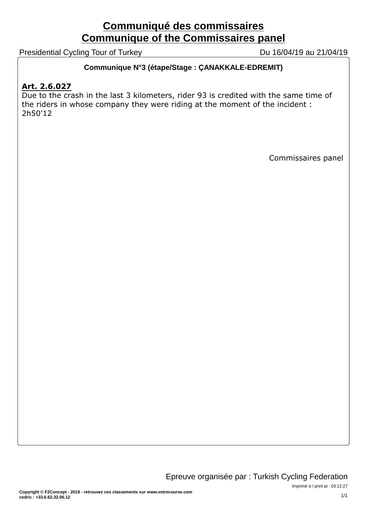# **Communiqué des commissaires Communique of the Commissaires panel**

Presidential Cycling Tour of Turkey Du 16/04/19 au 21/04/19

## **Communique N°3 (étape/Stage : ÇANAKKALE-EDREMIT)**

# **Art. 2.6.027**

Due to the crash in the last 3 kilometers, rider 93 is credited with the same time of the riders in whose company they were riding at the moment of the incident : 2h50'12

Commissaires panel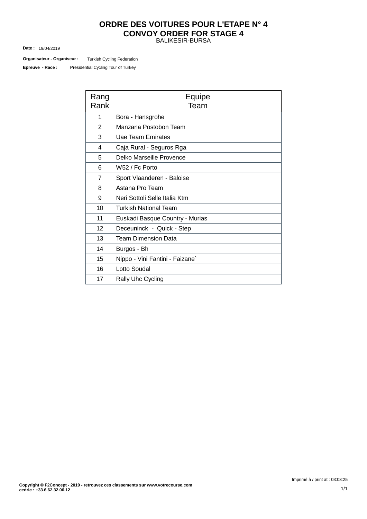#### BALIKESIR-BURSA **ORDRE DES VOITURES POUR L'ETAPE N° 4 CONVOY ORDER FOR STAGE 4**

19/04/2019 **Date :**

Turkish Cycling Federation **Organisateur - Organiseur :**

Presidential Cycling Tour of Turkey **Epreuve - Race :**

| Rang<br>Rank   | Equipe<br>Team                  |
|----------------|---------------------------------|
| 1              | Bora - Hansgrohe                |
| 2              | Manzana Postobon Team           |
| 3              | Uae Team Emirates               |
| 4              | Caja Rural - Seguros Rga        |
| 5              | Delko Marseille Provence        |
| 6              | W52 / Fc Porto                  |
| $\overline{7}$ | Sport Vlaanderen - Baloise      |
| 8              | Astana Pro Team                 |
| 9              | Neri Sottoli Selle Italia Ktm   |
| 10             | <b>Turkish National Team</b>    |
| 11             | Euskadi Basque Country - Murias |
| 12             | Deceuninck - Quick - Step       |
| 13             | <b>Team Dimension Data</b>      |
| 14             | Burgos - Bh                     |
| 15             | Nippo - Vini Fantini - Faizane` |
| 16             | Lotto Soudal                    |
| 17             | <b>Rally Uhc Cycling</b>        |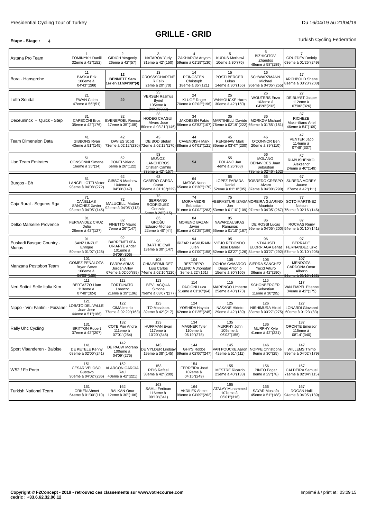#### **Etape -** Stage **:** 4 Turkish Cycling Federation

| Astana Pro Team                    | FOMINYKH Daniil<br>32eme à 42"(152)                                    | $\overline{2}$<br><b>GIDICH Yevgeniy</b><br>26eme à 42"(57)                 | 3<br>NATAROV Yuriy<br>31eme à 42"(150)                                        | 4<br>ZAKHAROV Artyom<br>59eme à 01'19"(130)                                                                    | 5<br><b>KUDUS Merhawi</b><br>10eme à 30"(76)                                                                                    | 6<br><b>BIZHIGITOV</b><br>Zhandos<br>48eme à 58"(189)                            | 7<br><b>GRUZDEV Dmitriy</b><br>63eme à 01'25''(249)                      |  |
|------------------------------------|------------------------------------------------------------------------|-----------------------------------------------------------------------------|-------------------------------------------------------------------------------|----------------------------------------------------------------------------------------------------------------|---------------------------------------------------------------------------------------------------------------------------------|----------------------------------------------------------------------------------|--------------------------------------------------------------------------|--|
| Bora - Hansgrohe                   | 11<br><b>BASKA Erik</b><br>106eme à<br>04'43"(299)                     | 12<br><b>BENNETT Sam</b><br>ler en 11h04'08"(4)                             | 13<br><b>GROSSSCHARTNE</b><br>R Felix<br>2eme à 20"(70)                       | 14<br><b>PFINGSTEN</b><br>Christoph<br>18eme à 35"(121)                                                        | 15<br>PÖSTLBERGER<br>Lukas<br>14eme à 30"(156)                                                                                  | 16<br>SCHWARZMANN<br>Michael<br>96eme à 04'05"(255)                              | 17<br><b>ARCHBOLD Shane</b><br>81eme à 03'23"(208)                       |  |
| Lotto Soudal                       | 21<br><b>EWAN Caleb</b><br>47eme à 56"(51)                             | 22                                                                          | 23<br><b>IVERSEN Rasmus</b><br><b>Byriel</b><br>105eme à<br>04'42"(322)       | 24<br><b>KLUGE Roger</b><br>70eme à 02'02"(196)                                                                | 25<br><b>VANHOUCKE Harm</b><br>30eme à 42"(150)                                                                                 | 26<br><b>WOUTERS Enzo</b><br>103eme à<br>04'20"(232)                             | 27<br>DE BUYST Jasper<br>112eme à<br>07'06"(326)                         |  |
| Deceuninck - Quick - Step          | 31<br><b>CAPECCHI Eros</b><br>35eme à 42"(176)                         | 32<br><b>EVENEPOEL Remco</b><br>17eme à 35"(105)                            | 33<br><b>HODEG CHAGUI</b><br>Alvaro Jose<br>80eme à 03'21"(146)               | 34<br>JAKOBSEN Fabio                                                                                           | 35<br>MARTINELLI Davide<br>86eme à 03'53"(107) 76eme à 02'19"(222) 66eme à 01'55"(151)                                          | 36<br>MØRKØV Michael                                                             | 37<br><b>RICHEZE</b><br>Maximiliano Ariel<br>46eme à 54"(109)            |  |
| <b>Team Dimension Data</b>         | 41<br>GIBBONS Ryan<br>43eme à 51"(145)                                 | 42<br><b>DAVIES Scott</b>                                                   | 43<br>DE BOD Stefan                                                           | 44<br><b>CAVENDISH Mark</b><br>73eme à 02'12"(230) 72eme à 02'12"(170) 88eme à 04'01"(121) 85eme à 03'47"(230) | 45<br><b>RENSHAW Mark</b>                                                                                                       | 46<br>O'CONNOR Ben<br>20eme à 39"(110)                                           | 47<br><b>VENTER Jaco</b><br>114eme à<br>07'48"(337)                      |  |
| Uae Team Emirates                  | 51<br><b>CONSONNI Simone</b><br>16eme à 35"(34)                        | 52<br><b>CONTI Valerio</b><br>6eme à 26"(122)                               | 53<br><b>MUÑOZ</b><br><b>LANCHEROS</b><br>Cristian Camilo<br>33eme à 42"(157) | 54                                                                                                             | 55<br>POLANC Jan<br>4eme à 26"(68)                                                                                              | 56<br><b>MOLANO</b><br><b>BENAVIDES Juan</b><br>Sebastian<br>78eme à 02'46''(102 | 57<br><b>RIABUSHENKO</b><br>Aleksandr<br>24eme à 40"(149)                |  |
| Burgos - Bh                        | 61<br><b>ANGELLOTTI Victor</b><br>98eme à 04'08"(272)                  | 62<br><b>GIBSON Matthew</b><br>104eme à<br>04'30"(147)                      | 63<br>CABEDO CARDA<br>Oscar<br>58eme à 01'10"(229)                            | 64<br><b>MATOS Nuno</b><br>65eme à 01'30"(170)                                                                 | 65<br>LOPEZ PARADA<br>Daniel                                                                                                    | 66<br>ROBREDO CRESPO<br>Alvaro<br>52eme à 01'10"(95) 87eme à 04'00"(290)         | 67<br><b>SUREDA MOREY</b><br>Jaume<br>27eme à 42"(111)                   |  |
| Caja Rural - Seguros Rga           | 71<br><b>CAÑELLAS</b><br><b>SANCHEZ Xavier</b><br>93eme à 04'05"(145)  | 72<br><b>MALUCELLI Matteo</b><br>92eme à 04'05"(113)                        | 73<br>SERRANO<br><b>RODRIGUEZ</b><br>Gonzalo<br>5eme à 26"(115)               | 74<br><b>MORA VEDRI</b><br>Sebastian                                                                           | 75<br>ABERASTURI IZAGAMOREIRA GUARINO<br>Jon<br>91eme à 04'02"(283) 53eme à 01'10"(109) 97eme à 04'05"(267) 75eme à 02'16"(146) | 76<br>Mauricio                                                                   | 77<br><b>SOTO MARTINEZ</b><br>Nelson                                     |  |
| Delko Marseille Provence           | 81<br>FERNANDEZ CRUZ<br>Delio<br>28eme à 42"(127)                      | 82<br>FINETTO Mauro<br>7eme à 26"(147)                                      | 83<br><b>GROŠU</b><br>Eduard-Michael<br>22eme à 40"(41)                       | 84<br><b>MORENO BAZAN</b><br>Javier                                                                            | 85<br>NAVARDAUSKAS<br>Ramunas<br>61eme à 01'25"(199) 55eme à 01'10"(167)                                                        | 86<br>DE ROSSI Lucas                                                             | 87<br>ROCHAS Rémy<br>95eme à 04'05"(200) 54eme à 01'10"(141)             |  |
| Euskadi Basque Country -<br>Murias | 91<br><b>SANZ UNZUE</b><br>Enrique<br>50eme à 01'07"(125)              | 92<br><b>BARRENETXEA</b><br><b>URIARTE Ander</b><br>101eme à<br>04'09"(306) | 93<br><b>BARTHE Cyril</b><br>13eme à 30"(147)                                 | 94<br>RIZAR LASKURAIN<br>Julen                                                                                 | 95<br>VIEJO REDONDO<br>Jose Daniel<br>49eme à 01'00"(158) 82eme à 03'27"(126) 84eme à 03'27"(292) 57eme à 01'10"(208)           | 96<br><b>INTXAUSTI</b><br>ELORRIAGA Beñat                                        | 97<br><b>BERRADE</b><br><b>FERNANDEZ Urko</b>                            |  |
| Manzana Postobon Team              | 101<br>GOMEZ PEÑALOZA<br><b>Bryan Steve</b><br>108eme à<br>06'03"(139) | 102<br>PARRA ARIAS<br>Jordan Arley<br>67eme à 02'00"(89)                    | 103<br>CHIA BERMUDEZ<br>Luis Carlos<br>74eme à 02'16"(120)                    | 104<br><b>RESTREPO</b><br>VALENCIA Jhonatan<br>3eme à 22"(161)                                                 | 105<br>OCHOA CAMARGO<br>Diego Antonio<br>15eme à 30"(166)                                                                       | 106<br>SIERRA SANCHEZ<br>Yecid Arturo<br>36eme à 42"(190)                        | 107<br><b>MENDOZA</b><br>CARDONA Omar<br>Alberto<br>56eme à 01'10''(186) |  |
| Neri Sottoli Selle Italia Ktm      | 111<br><b>BERTAZZO Liam</b><br>113eme à<br>07'48"(324)                 | 112<br><b>FORTUNATO</b><br>Lorenzo                                          | 113<br><b>BEVILACQUA</b><br>Simone<br>21eme à 39"(196) 79eme à 03'07"(277)    | 114<br>PACIONI Luca<br>51eme à 01'10"(64)                                                                      | 115<br><b>MARENGO Umberto</b><br>25eme à 40"(173)                                                                               | 116<br><b>SCHONBERGER</b><br>Sebastian<br>11eme à 30"(95)                        | 117<br>VAN EMPEL Etienne<br>34eme à 42"(175)                             |  |
| Nippo - Vini Fantini - Faizane`    | 121<br>OBATO DEL VALLE<br>Juan Jose<br>44eme à 51"(186)                | 122<br>CIMA Imerio<br>77eme à 02'29"(163)                                   | 123<br><b>ITO Masakazu</b><br>39eme à 42"(217)                                | 124<br>YOSHIDA Hayato<br>62eme à 01'25"(245)                                                                   | 125<br><b>NAKANE Hideto</b><br>29eme à 42"(139)                                                                                 | 126<br>NISHIMURA Hiroki<br>83eme à 03'27"(275)                                   | 127<br>LONARDI Giovanni<br>60eme à 01'23"(83)                            |  |
| Rally Uhc Cycling                  | 131<br><b>BRITTON Robert</b><br>37eme à 42"(207)                       | 132<br><b>COTE Pier Andre</b><br>111eme à<br>07'01"(264)                    | 133<br><b>HUFFMAN Evan</b><br>117eme à<br>10'20"(345)                         | 134<br><b>MAGNER Tyler</b><br>110eme à<br>06'19"(278)                                                          | 135<br>MURPHY John<br>109eme à<br>06'03"(155)                                                                                   | 136<br>MURPHY Kyle<br>41eme à 42"(221)                                           | 137<br><b>ORONTE Emerson</b><br>115eme à<br>08'14"(340)                  |  |
| Sport Vlaanderen - Baloise         | 141<br>DE KETELE Kenny<br>68eme à 02'00"(241)                          | 142<br>DE PAUW Moreno<br>100eme à<br>04'09"(275)                            | 143<br>DE VYLDER Lindsay<br>19eme à 38"(145)                                  | 144<br><b>GHYS Robbe</b><br>69eme à 02'00"(247)                                                                | 145<br>VAN POUCKE Aaron<br>42eme à 51"(111)                                                                                     | 146<br>NOPPE Christophe<br>9eme à 30"(25)                                        | 147<br><b>WILLEMS Thimo</b><br>89eme à 04'02"(179)                       |  |
| W52 / Fc Porto                     | 151<br>CESAR VELOSO<br>Gustavo<br>90eme à 04'02"(236)                  | 152<br><b>ALARCON GARCIA</b><br>Raul<br>40eme à 42"(221)                    | 153<br><b>REIS Rafael</b><br>38eme à 42"(209)                                 | 154<br>FERREIRA José<br>102eme à<br>04'15"(249)                                                                | 155<br><b>MESTRE Ricardo</b><br>23eme à 40"(133)                                                                                | 156<br>PINTO Edgar<br>8eme à 29"(78)                                             | 157<br>CALDEIRA Samuel<br>71eme à 02'04"(115)                            |  |
| <b>Turkish National Team</b>       | 161<br><b>ORKEN Ahmet</b><br>64eme à 01'30"(110)                       | 162<br><b>BALKAN Onur</b><br>12eme à 30"(106)                               | 163<br>SAMLI Feritcan<br>116eme à<br>09'10"(341)                              | 164<br><b>AKDILEK Ahmet</b><br>99eme à 04'09"(262)                                                             | 165<br><b>ATALAY Muhammed</b><br>107eme à<br>06'01"(316)                                                                        | 166<br><b>SAYAR Mustafa</b><br>45eme à 51"(188)                                  | 167<br><b>DOGAN Halil</b><br>94eme à 04'05"(189)                         |  |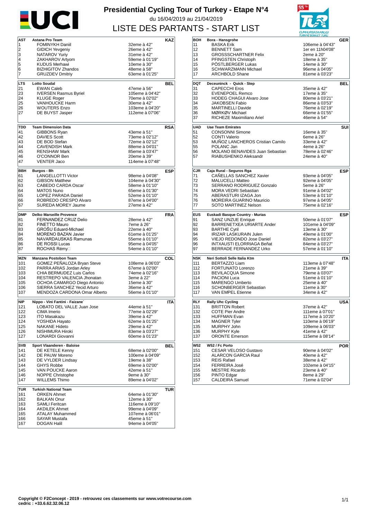

## **Presidential Cycling Tour of Turkey - Etape N°4** du 16/04/2019 au 21/04/2019 LISTE DES PARTANTS - START LIST



| AST        | Astana Pro Team                             |                                  | <b>KAZ</b> |
|------------|---------------------------------------------|----------------------------------|------------|
| 1          | <b>FOMINYKH Daniil</b>                      | 32eme à 42"                      |            |
| 2          | <b>GIDICH Yevgeniy</b>                      | 26eme à 42"                      |            |
| 3          |                                             |                                  |            |
|            | NATAROV Yuriy                               | 31eme à 42"                      |            |
| 4          | ZAKHAROV Artyom                             | 59eme à 01'19"                   |            |
| 5          | <b>KUDUS Merhawi</b>                        | 10eme à 30"                      |            |
| 6          | <b>BIZHIGITOV Zhandos</b>                   | 48eme à 58"                      |            |
| 7          | <b>GRUZDEV Dmitriy</b>                      | 63eme à 01'25"                   |            |
|            |                                             |                                  |            |
| LTS        | <b>Lotto Soudal</b>                         |                                  | <b>BEL</b> |
| 21         | <b>EWAN Caleb</b>                           | 47eme à 56"                      |            |
| 23         | <b>IVERSEN Rasmus Byriel</b>                | 105eme à 04'42"                  |            |
| 24         | <b>KLUGE Roger</b>                          | 70eme à 02'02"                   |            |
| 25         | <b>VANHOUCKE Harm</b>                       | 30eme à 42"                      |            |
| 26         | <b>WOUTERS Enzo</b>                         | 103eme à 04'20"                  |            |
| 27         | DE BUYST Jasper                             | 112eme à 07'06"                  |            |
|            |                                             |                                  |            |
|            |                                             |                                  |            |
| TDD        | <b>Team Dimension Data</b>                  |                                  | <b>RSA</b> |
| 41         | GIBBONS Ryan                                | 43eme à 51"                      |            |
| 42         | <b>DAVIES Scott</b>                         | 73eme à 02'12"                   |            |
| 43         | DE BOD Stefan                               | 72eme à 02'12"                   |            |
| 44         | <b>CAVENDISH Mark</b>                       | 88eme à 04'01"                   |            |
| 45         | <b>RENSHAW Mark</b>                         | 85eme à 03'47"                   |            |
| 46         | O'CONNOR Ben                                | 20eme à 39"                      |            |
| 47         | <b>VENTER Jaco</b>                          | 114eme à 07'48"                  |            |
|            |                                             |                                  |            |
| BBH        | Burgos - Bh                                 |                                  | <b>ESP</b> |
| 61         | <b>LANGELLOTTI Victor</b>                   | 98eme à 04'08"                   |            |
| 62         | <b>GIBSON Matthew</b>                       | 104eme à 04'30"                  |            |
| 63         | CABEDO CARDA Oscar                          | 58eme à 01'10"                   |            |
|            | <b>MATOS Nuno</b>                           |                                  |            |
| 64         |                                             | 65eme à 01'30"                   |            |
| 65         | <b>LOPEZ PARADA Daniel</b>                  | 52eme à 01'10"                   |            |
| 66         | ROBREDO CRESPO Alvaro                       | 87eme à 04'00"                   |            |
| 67         | SUREDA MOREY Jaume                          | 27eme à 42"                      |            |
| <b>DMP</b> | Delko Marseille Provence                    |                                  | <b>FRA</b> |
|            |                                             |                                  |            |
| 81         | FERNANDEZ CRUZ Delio                        | 28eme à 42"                      |            |
| 82         | FINETTO Mauro                               | 7eme à 26"                       |            |
| 83         | GROŠU Eduard-Michael                        | 22eme à 40"                      |            |
| 84         | <b>MORENO BAZAN Javier</b>                  | 61eme à 01'25"                   |            |
|            |                                             |                                  |            |
| 85         | NAVARDAUSKAS Ramunas                        | 55eme à 01'10"                   |            |
|            |                                             |                                  |            |
| 86<br>87   | DE ROSSI Lucas<br>ROCHAS Rémy⊡              | 95eme à 04'05"<br>54eme à 01'10" |            |
|            |                                             |                                  |            |
| <b>MZN</b> | Manzana Postobon Team                       |                                  | COL        |
| 101        | GOMEZ PENALOZA Bryan Steve                  | 108eme à 06'03"                  |            |
| 102        | PARRA ARIAS Jordan Arley                    | 67eme à 02'00"                   |            |
| 103        | CHIA BERMUDEZ Luis Carlos                   | 74eme à 02'16"                   |            |
| 104        | RESTREPO VALENCIA Jhonatan                  | 3eme à 22"                       |            |
| 105        | OCHOA CAMARGO Diego Antonio                 | 15eme à 30"                      |            |
| 106        | SIERRA SANCHEZ Yecid Arturo                 | 36eme à 42"                      |            |
| 107        | MENDOZA CARDONA Omar Alberto                | 56eme à 01'10"                   |            |
|            |                                             |                                  |            |
| <b>NIP</b> | Nippo - Vini Fantini - Faizane`             |                                  | <b>ITA</b> |
| 121        | LOBATO DEL VALLE Juan Jose                  | 44eme à 51"                      |            |
| 122        | CIMA Imerio                                 | 77eme à 02'29"                   |            |
| 123        | ITO Masakazu                                | 39eme à 42"                      |            |
| 124        | YOSHIDA Hayato                              | 62eme à 01'25"                   |            |
| 125        | <b>NAKANE Hideto</b>                        | 29eme à 42"                      |            |
| 126        |                                             |                                  |            |
| 127        | NISHIMURA Hiroki<br><b>LONARDI Giovanni</b> | 83eme à 03'27"<br>60eme à 01'23" |            |
|            |                                             |                                  |            |
| SVB        | Sport Vlaanderen - Baloise                  |                                  | BEL        |
| 141        | DE KETELE Kenny                             | 68eme à 02'00"                   |            |
| 142        | DE PAUW Moreno                              | 100eme à 04'09"                  |            |
| 143        | DE VYLDER Lindsay                           | 19eme à 38"                      |            |
|            |                                             |                                  |            |
| 144        | <b>GHYS Robbe</b>                           | 69eme à 02'00"                   |            |
| 145        | VAN POUCKE Aaron                            | 42eme à 51"                      |            |
| 146        | NOPPE Christophe                            | 9eme à 30"                       |            |
| 147        | <b>WILLEMS Thimo</b>                        | 89eme à 04'02"                   |            |
| TUR        | <b>Turkish National Team</b>                |                                  | TUR        |
| 161        | <b>ORKEN Ahmet</b>                          | 64eme à 01'30"                   |            |
|            |                                             |                                  |            |
| 162        | <b>BALKAN Onur</b>                          | 12eme à 30"                      |            |
| 163        | <b>SAMLI Feritcan</b>                       | 116eme à 09'10"                  |            |
| 164        | <b>AKDILEK Ahmet</b>                        | 99eme à 04'09"                   |            |
| 165        | <b>ATALAY Muhammed</b>                      | 107eme à 06'01"                  |            |
| 166<br>167 | SAYAR Mustafa<br>DOGAN Halil                | 45eme à 51"<br>94eme à 04'05"    |            |

|            |                                                                 | TURKIYE BISIKLET TURU            |            |
|------------|-----------------------------------------------------------------|----------------------------------|------------|
| <b>BOH</b> | Bora - Hansgrohe                                                |                                  | GER        |
| 11         | <b>BASKA Erik</b>                                               | 106eme à 04'43"                  |            |
| 12         | <b>BENNETT Sam</b>                                              | 1er en 11h04'08"                 |            |
| 13         | <b>GROSSSCHARTNER Felix</b>                                     | 2eme à 20"                       |            |
| 14         | PFINGSTEN Christoph                                             | 18eme à 35"                      |            |
| 15         | PÖSTLBERGER Lukas                                               | 14eme à 30"                      |            |
| 16         | SCHWARZMANN Michael                                             | 96eme à 04'05"                   |            |
| 17         | <b>ARCHBOLD Shane</b>                                           | 81eme à 03'23"                   |            |
| <b>DQT</b> | Deceuninck - Quick - Step                                       |                                  | BEL        |
| 31         | <b>CAPECCHI Eros</b>                                            | 35eme à 42"                      |            |
| 32         | <b>EVENEPOEL Remco</b>                                          | 17eme à 35"                      |            |
| 33         | <b>HODEG CHAGUI Alvaro Jose</b>                                 | 80eme à 03'21"                   |            |
| 34         | <b>JAKOBSEN Fabio</b>                                           | 86eme à 03'53"                   |            |
| 35         | <b>MARTINELLI Davide</b>                                        | 76eme à 02'19"                   |            |
| 36         | MØRKØV Michael                                                  | 66eme à 01'55"                   |            |
| 37         | RICHEZE Maximiliano Ariel                                       | 46eme à 54"                      |            |
|            |                                                                 |                                  |            |
| <b>UAD</b> | <b>Uae Team Emirates</b>                                        |                                  | SUI        |
| 51         | <b>CONSONNI Simone</b>                                          | 16eme à 35"                      |            |
| 52         | <b>CONTI Valerio</b>                                            | 6eme à 26"                       |            |
| 53         | MUNOZ LANCHEROS Cristian Camilo                                 | 33eme à 42"                      |            |
| 55         | POLANC Jan                                                      | 4eme à 26"                       |            |
| 56<br>57   | <b>MOLANO BENAVIDES Juan Sebastian</b><br>RIABUSHENKO Aleksandr | 78eme à 02'46"<br>24eme à 40"    |            |
|            |                                                                 |                                  |            |
|            |                                                                 |                                  |            |
| CJR        | Caja Rural - Seguros Rga                                        |                                  | <b>ESP</b> |
| 71         | <b>CANELLAS SANCHEZ Xavier</b>                                  | 93eme à 04'05"                   |            |
| 72         | <b>MALUCELLI Matteo</b>                                         | 92eme à 04'05"                   |            |
| 73         | SERRANO RODRIGUEZ Gonzalo                                       | 5eme à 26"                       |            |
| 74         | <b>MORA VEDRI Sebastian</b>                                     | 91eme à 04'02"                   |            |
| 75         | ABERASTURI IZAGA Jon                                            | 53eme à 01'10"                   |            |
| 76         | <b>MOREIRA GUARINO Mauricio</b>                                 | 97eme à 04'05"                   |            |
| 77         | SOTO MARTINEZ Nelson                                            | 75eme à 02'16"                   |            |
|            |                                                                 |                                  | ESP        |
|            |                                                                 |                                  |            |
| <b>EUS</b> | Euskadi Basque Country - Murias                                 |                                  |            |
| 91         | <b>SANZ UNZUE Enrique</b>                                       | 50eme à 01'07"                   |            |
| 92         | BARRENETXEA URIARTE Ander                                       | 101eme à 04'09"                  |            |
| 93         | <b>BARTHE Cyril</b>                                             | 13eme à 30"                      |            |
| 94         | IRIZAR LASKURAIN Julen                                          | 49eme à 01'00"                   |            |
| 95         | VIEJO REDONDO Jose Daniel                                       | 82eme à 03'27"                   |            |
| 96<br>97   | <b>INTXAUSTI ELORRIAGA Beñat</b><br>BERRADE FERNANDEZ Urko      | 84eme à 03'27"<br>57eme à 01'10" |            |
|            |                                                                 |                                  |            |
| NSK        | Neri Sottoli Selle Italia Ktm                                   |                                  | <b>ITA</b> |
| 111        | BERTAZZO Liam                                                   | 113eme à 07'48"                  |            |
| 112        | FORTUNATO Lorenzo                                               | 21eme à 39"                      |            |
| 113        | <b>BEVILACQUA Simone</b>                                        | 79eme à 03'07"                   |            |
| 114        | PACIONI Luca                                                    | 51eme à 01'10"                   |            |
| 115        | <b>MARENGO Umberto</b>                                          | 25eme à 40"                      |            |
| 116        | <b>SCHONBERGER Sebastian</b>                                    | 11eme à 30"                      |            |
| 117        | VAN EMPEL Etienne                                               | 34eme à 42"                      |            |
| <b>RLY</b> | <b>Rally Uhc Cycling</b>                                        |                                  | <b>USA</b> |
| 131        | <b>BRITTON Robert</b>                                           | 37eme à 42"                      |            |
| 132        | <b>COTE Pier Andre</b>                                          | 111eme à 07'01"                  |            |
| 133        | <b>HUFFMAN Evan</b>                                             | 117eme à 10'20"                  |            |
| 134        | <b>MAGNER Tyler</b>                                             | 110eme à 06'19"                  |            |
| 135        | MURPHY John                                                     | 109eme à 06'03"                  |            |
| 136        | <b>MURPHY Kyle</b>                                              | 41eme à 42"                      |            |
| 137        | <b>ORONTE Emerson</b>                                           | 115eme à 08'14"                  |            |
|            |                                                                 |                                  |            |
| <b>W52</b> | W52 / Fc Porto                                                  |                                  | <b>POR</b> |
| 151        | <b>CESAR VELOSO Gustavo</b>                                     | 90eme à 04'02"                   |            |
| 152        | <b>ALARCON GARCIA Raul</b>                                      | 40eme à 42"                      |            |
| 153        | <b>REIS Rafael</b>                                              | 38eme à 42"                      |            |
| 154        | <b>FERREIRA José</b>                                            | 102eme à 04'15"                  |            |
| 155        | <b>MESTRE Ricardo</b>                                           | 23eme à 40"                      |            |
| 156<br>157 | PINTO Edgar<br><b>CALDEIRA Samuel</b>                           | 8eme à 29"<br>71eme à 02'04"     |            |
|            |                                                                 |                                  |            |